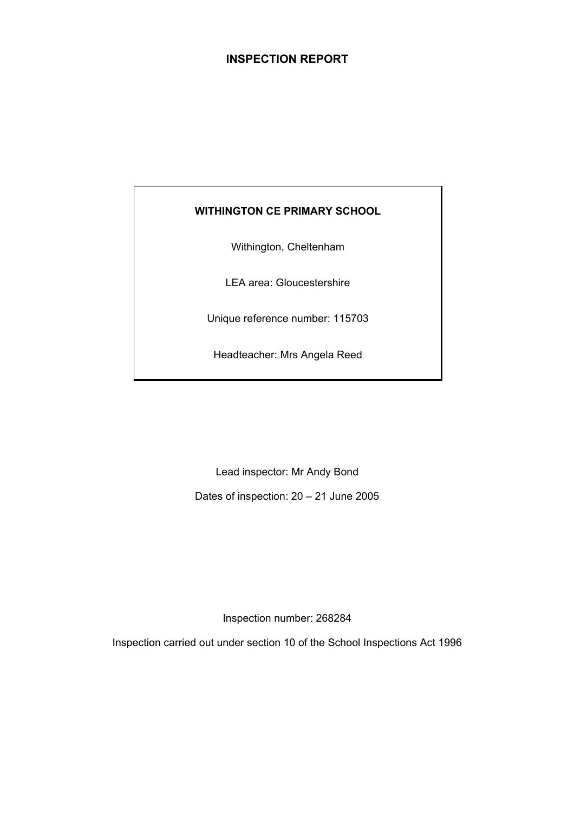# **INSPECTION REPORT**

# **WITHINGTON CE PRIMARY SCHOOL**

Withington, Cheltenham

LEA area: Gloucestershire

Unique reference number: 115703

Headteacher: Mrs Angela Reed

Lead inspector: Mr Andy Bond

Dates of inspection: 20 – 21 June 2005

Inspection number: 268284

Inspection carried out under section 10 of the School Inspections Act 1996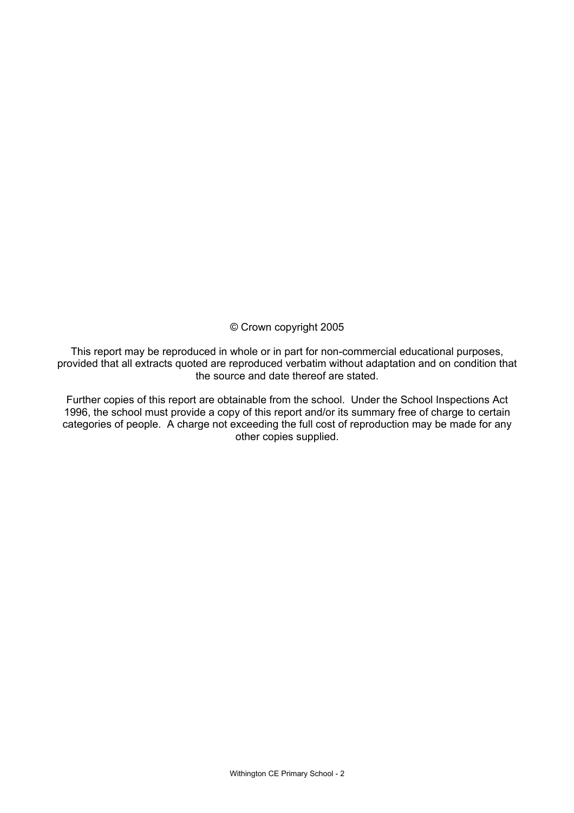© Crown copyright 2005

This report may be reproduced in whole or in part for non-commercial educational purposes, provided that all extracts quoted are reproduced verbatim without adaptation and on condition that the source and date thereof are stated.

Further copies of this report are obtainable from the school. Under the School Inspections Act 1996, the school must provide a copy of this report and/or its summary free of charge to certain categories of people. A charge not exceeding the full cost of reproduction may be made for any other copies supplied.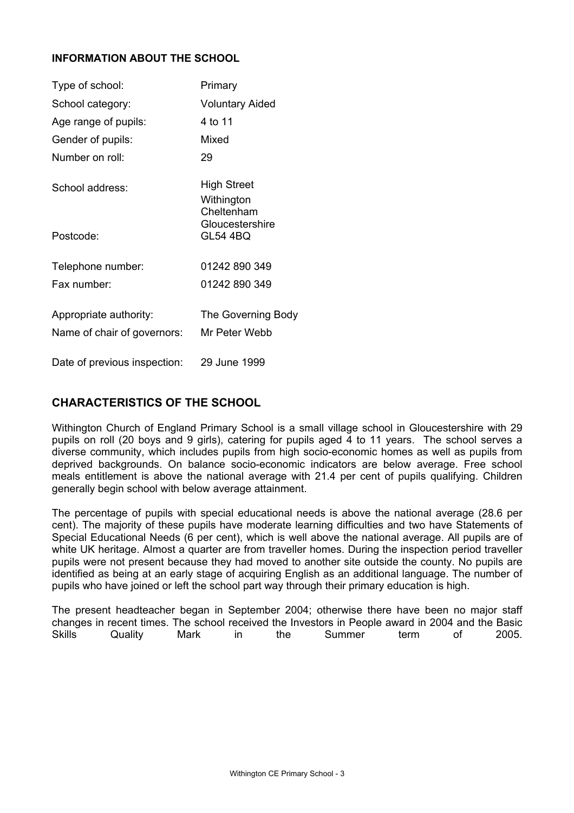### **INFORMATION ABOUT THE SCHOOL**

| Type of school:                                       | Primary                                 |
|-------------------------------------------------------|-----------------------------------------|
| School category:                                      | <b>Voluntary Aided</b>                  |
| Age range of pupils:                                  | 4 to 11                                 |
| Gender of pupils:                                     | Mixed                                   |
| Number on roll:                                       | 29                                      |
| School address:                                       | High Street<br>Withington<br>Cheltenham |
| Postcode:                                             | Gloucestershire<br><b>GL54 4BQ</b>      |
| Telephone number:                                     | 01242 890 349                           |
| Fax number:                                           | 01242 890 349                           |
| Appropriate authority:<br>Name of chair of governors: | The Governing Body<br>Mr Peter Webb     |
| Date of previous inspection:                          | 29 June 1999                            |

# **CHARACTERISTICS OF THE SCHOOL**

Withington Church of England Primary School is a small village school in Gloucestershire with 29 pupils on roll (20 boys and 9 girls), catering for pupils aged 4 to 11 years. The school serves a diverse community, which includes pupils from high socio-economic homes as well as pupils from deprived backgrounds. On balance socio-economic indicators are below average. Free school meals entitlement is above the national average with 21.4 per cent of pupils qualifying. Children generally begin school with below average attainment.

The percentage of pupils with special educational needs is above the national average (28.6 per cent). The majority of these pupils have moderate learning difficulties and two have Statements of Special Educational Needs (6 per cent), which is well above the national average. All pupils are of white UK heritage. Almost a quarter are from traveller homes. During the inspection period traveller pupils were not present because they had moved to another site outside the county. No pupils are identified as being at an early stage of acquiring English as an additional language. The number of pupils who have joined or left the school part way through their primary education is high.

The present headteacher began in September 2004; otherwise there have been no major staff changes in recent times. The school received the Investors in People award in 2004 and the Basic Skills Quality Mark in the Summer term of 2005.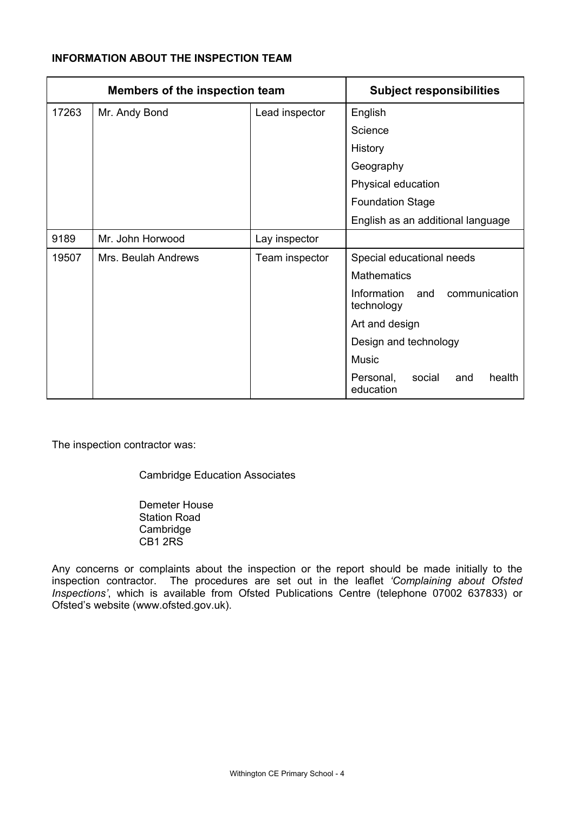# **INFORMATION ABOUT THE INSPECTION TEAM**

| <b>Members of the inspection team</b> |                     |                | <b>Subject responsibilities</b>                   |
|---------------------------------------|---------------------|----------------|---------------------------------------------------|
| 17263                                 | Mr. Andy Bond       | Lead inspector | English                                           |
|                                       |                     |                | Science                                           |
|                                       |                     |                | History                                           |
|                                       |                     |                | Geography                                         |
|                                       |                     |                | Physical education                                |
|                                       |                     |                | <b>Foundation Stage</b>                           |
|                                       |                     |                | English as an additional language                 |
| 9189                                  | Mr. John Horwood    | Lay inspector  |                                                   |
| 19507                                 | Mrs. Beulah Andrews | Team inspector | Special educational needs                         |
|                                       |                     |                | <b>Mathematics</b>                                |
|                                       |                     |                | Information<br>communication<br>and<br>technology |
|                                       |                     |                | Art and design                                    |
|                                       |                     |                | Design and technology                             |
|                                       |                     |                | <b>Music</b>                                      |
|                                       |                     |                | Personal,<br>social<br>health<br>and<br>education |

The inspection contractor was:

Cambridge Education Associates

 Demeter House Station Road Cambridge CB1 2RS

Any concerns or complaints about the inspection or the report should be made initially to the inspection contractor. The procedures are set out in the leaflet *'Complaining about Ofsted Inspections'*, which is available from Ofsted Publications Centre (telephone 07002 637833) or Ofsted's website (www.ofsted.gov.uk).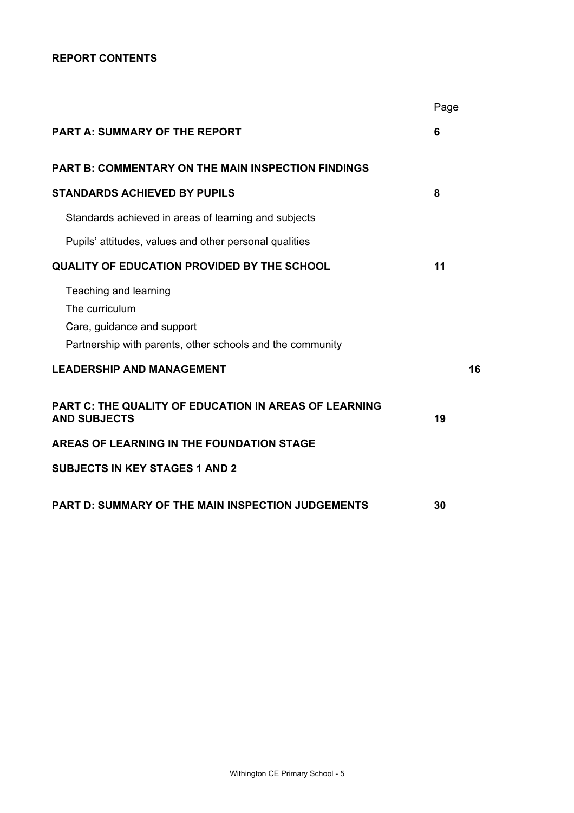### **REPORT CONTENTS**

|                                                                                                                                    | Page |
|------------------------------------------------------------------------------------------------------------------------------------|------|
| <b>PART A: SUMMARY OF THE REPORT</b>                                                                                               | 6    |
| <b>PART B: COMMENTARY ON THE MAIN INSPECTION FINDINGS</b>                                                                          |      |
| <b>STANDARDS ACHIEVED BY PUPILS</b>                                                                                                | 8    |
| Standards achieved in areas of learning and subjects                                                                               |      |
| Pupils' attitudes, values and other personal qualities                                                                             |      |
| <b>QUALITY OF EDUCATION PROVIDED BY THE SCHOOL</b>                                                                                 | 11   |
| Teaching and learning<br>The curriculum<br>Care, guidance and support<br>Partnership with parents, other schools and the community |      |
| <b>LEADERSHIP AND MANAGEMENT</b>                                                                                                   | 16   |
| <b>PART C: THE QUALITY OF EDUCATION IN AREAS OF LEARNING</b><br><b>AND SUBJECTS</b>                                                | 19   |
| AREAS OF LEARNING IN THE FOUNDATION STAGE                                                                                          |      |
| <b>SUBJECTS IN KEY STAGES 1 AND 2</b>                                                                                              |      |
| <b>PART D: SUMMARY OF THE MAIN INSPECTION JUDGEMENTS</b>                                                                           | 30   |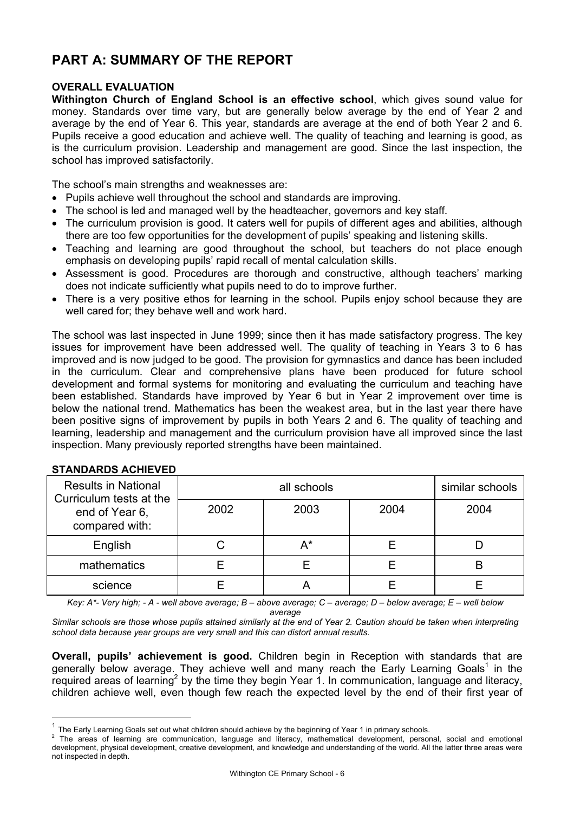# **PART A: SUMMARY OF THE REPORT**

### **OVERALL EVALUATION**

**Withington Church of England School is an effective school**, which gives sound value for money. Standards over time vary, but are generally below average by the end of Year 2 and average by the end of Year 6. This year, standards are average at the end of both Year 2 and 6. Pupils receive a good education and achieve well. The quality of teaching and learning is good, as is the curriculum provision. Leadership and management are good. Since the last inspection, the school has improved satisfactorily.

The school's main strengths and weaknesses are:

- Pupils achieve well throughout the school and standards are improving.
- The school is led and managed well by the headteacher, governors and key staff.
- The curriculum provision is good. It caters well for pupils of different ages and abilities, although there are too few opportunities for the development of pupils' speaking and listening skills.
- Teaching and learning are good throughout the school, but teachers do not place enough emphasis on developing pupils' rapid recall of mental calculation skills.
- Assessment is good. Procedures are thorough and constructive, although teachers' marking does not indicate sufficiently what pupils need to do to improve further.
- There is a very positive ethos for learning in the school. Pupils enjoy school because they are well cared for; they behave well and work hard.

The school was last inspected in June 1999; since then it has made satisfactory progress. The key issues for improvement have been addressed well. The quality of teaching in Years 3 to 6 has improved and is now judged to be good. The provision for gymnastics and dance has been included in the curriculum. Clear and comprehensive plans have been produced for future school development and formal systems for monitoring and evaluating the curriculum and teaching have been established. Standards have improved by Year 6 but in Year 2 improvement over time is below the national trend. Mathematics has been the weakest area, but in the last year there have been positive signs of improvement by pupils in both Years 2 and 6. The quality of teaching and learning, leadership and management and the curriculum provision have all improved since the last inspection. Many previously reported strengths have been maintained.

| <b>Results in National</b><br>Curriculum tests at the |      | similar schools |      |      |
|-------------------------------------------------------|------|-----------------|------|------|
| end of Year 6,<br>compared with:                      | 2002 | 2003            | 2004 | 2004 |
| English                                               |      | A*              |      |      |
| mathematics                                           |      |                 |      |      |
| science                                               |      | ∼               |      |      |

### **STANDARDS ACHIEVED**

l

*Key: A\*- Very high; - A - well above average; B – above average; C – average; D – below average; E – well below average* 

*Similar schools are those whose pupils attained similarly at the end of Year 2. Caution should be taken when interpreting school data because year groups are very small and this can distort annual results.* 

**Overall, pupils' achievement is good.** Children begin in Reception with standards that are generally below average. They achieve well and many reach the Early Learning Goals<sup>1</sup> in the required areas of learning<sup>2</sup> by the time they begin Year 1. In communication, language and literacy, children achieve well, even though few reach the expected level by the end of their first year of

 $1$  The Early Learning Goals set out what children should achieve by the beginning of Year 1 in primary schools.

<sup>&</sup>lt;sup>2</sup> The areas of learning are communication, language and literacy, mathematical development, personal, social and emotional development, physical development, creative development, and knowledge and understanding of the world. All the latter three areas were not inspected in depth.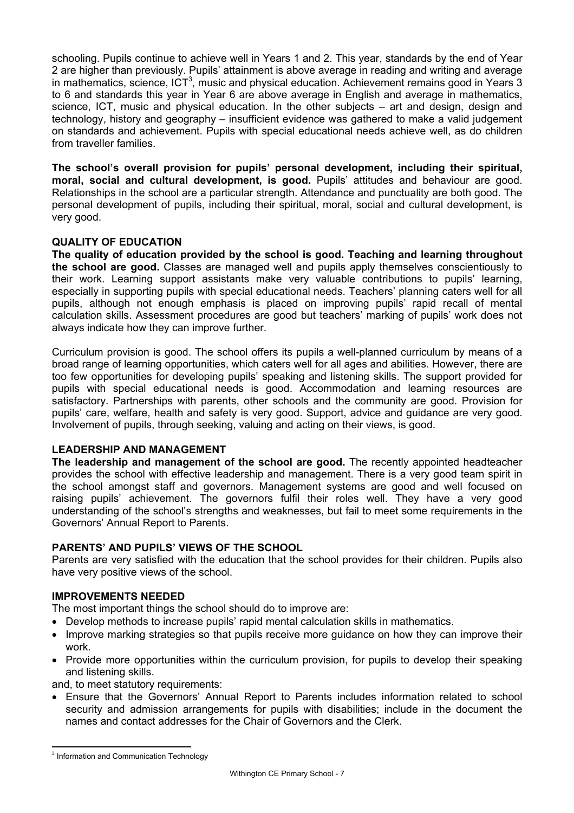schooling. Pupils continue to achieve well in Years 1 and 2. This year, standards by the end of Year 2 are higher than previously. Pupils' attainment is above average in reading and writing and average in mathematics, science, ICT<sup>3</sup>, music and physical education. Achievement remains good in Years 3 to 6 and standards this year in Year 6 are above average in English and average in mathematics, science, ICT, music and physical education. In the other subjects – art and design, design and technology, history and geography – insufficient evidence was gathered to make a valid judgement on standards and achievement. Pupils with special educational needs achieve well, as do children from traveller families.

**The school's overall provision for pupils' personal development, including their spiritual, moral, social and cultural development, is good.** Pupils' attitudes and behaviour are good. Relationships in the school are a particular strength. Attendance and punctuality are both good. The personal development of pupils, including their spiritual, moral, social and cultural development, is very good.

### **QUALITY OF EDUCATION**

**The quality of education provided by the school is good. Teaching and learning throughout the school are good.** Classes are managed well and pupils apply themselves conscientiously to their work. Learning support assistants make very valuable contributions to pupils' learning, especially in supporting pupils with special educational needs. Teachers' planning caters well for all pupils, although not enough emphasis is placed on improving pupils' rapid recall of mental calculation skills. Assessment procedures are good but teachers' marking of pupils' work does not always indicate how they can improve further.

Curriculum provision is good. The school offers its pupils a well-planned curriculum by means of a broad range of learning opportunities, which caters well for all ages and abilities. However, there are too few opportunities for developing pupils' speaking and listening skills. The support provided for pupils with special educational needs is good. Accommodation and learning resources are satisfactory. Partnerships with parents, other schools and the community are good. Provision for pupils' care, welfare, health and safety is very good. Support, advice and guidance are very good. Involvement of pupils, through seeking, valuing and acting on their views, is good.

### **LEADERSHIP AND MANAGEMENT**

**The leadership and management of the school are good.** The recently appointed headteacher provides the school with effective leadership and management. There is a very good team spirit in the school amongst staff and governors. Management systems are good and well focused on raising pupils' achievement. The governors fulfil their roles well. They have a very good understanding of the school's strengths and weaknesses, but fail to meet some requirements in the Governors' Annual Report to Parents.

# **PARENTS' AND PUPILS' VIEWS OF THE SCHOOL**

Parents are very satisfied with the education that the school provides for their children. Pupils also have very positive views of the school.

### **IMPROVEMENTS NEEDED**

The most important things the school should do to improve are:

- Develop methods to increase pupils' rapid mental calculation skills in mathematics.
- Improve marking strategies so that pupils receive more guidance on how they can improve their work.
- Provide more opportunities within the curriculum provision, for pupils to develop their speaking and listening skills.

and, to meet statutory requirements:

• Ensure that the Governors' Annual Report to Parents includes information related to school security and admission arrangements for pupils with disabilities; include in the document the names and contact addresses for the Chair of Governors and the Clerk.

l <sup>3</sup> Information and Communication Technology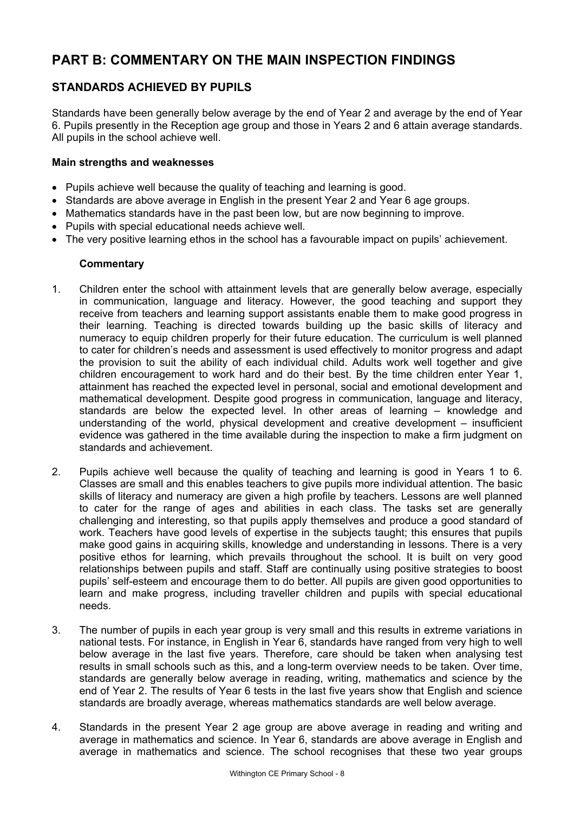# **PART B: COMMENTARY ON THE MAIN INSPECTION FINDINGS**

# **STANDARDS ACHIEVED BY PUPILS**

Standards have been generally below average by the end of Year 2 and average by the end of Year 6. Pupils presently in the Reception age group and those in Years 2 and 6 attain average standards. All pupils in the school achieve well.

### **Main strengths and weaknesses**

- Pupils achieve well because the quality of teaching and learning is good.
- Standards are above average in English in the present Year 2 and Year 6 age groups.
- Mathematics standards have in the past been low, but are now beginning to improve.
- Pupils with special educational needs achieve well.
- The very positive learning ethos in the school has a favourable impact on pupils' achievement.

- 1. Children enter the school with attainment levels that are generally below average, especially in communication, language and literacy. However, the good teaching and support they receive from teachers and learning support assistants enable them to make good progress in their learning. Teaching is directed towards building up the basic skills of literacy and numeracy to equip children properly for their future education. The curriculum is well planned to cater for children's needs and assessment is used effectively to monitor progress and adapt the provision to suit the ability of each individual child. Adults work well together and give children encouragement to work hard and do their best. By the time children enter Year 1, attainment has reached the expected level in personal, social and emotional development and mathematical development. Despite good progress in communication, language and literacy, standards are below the expected level. In other areas of learning – knowledge and understanding of the world, physical development and creative development – insufficient evidence was gathered in the time available during the inspection to make a firm judgment on standards and achievement.
- 2. Pupils achieve well because the quality of teaching and learning is good in Years 1 to 6. Classes are small and this enables teachers to give pupils more individual attention. The basic skills of literacy and numeracy are given a high profile by teachers. Lessons are well planned to cater for the range of ages and abilities in each class. The tasks set are generally challenging and interesting, so that pupils apply themselves and produce a good standard of work. Teachers have good levels of expertise in the subjects taught; this ensures that pupils make good gains in acquiring skills, knowledge and understanding in lessons. There is a very positive ethos for learning, which prevails throughout the school. It is built on very good relationships between pupils and staff. Staff are continually using positive strategies to boost pupils' self-esteem and encourage them to do better. All pupils are given good opportunities to learn and make progress, including traveller children and pupils with special educational needs.
- 3. The number of pupils in each year group is very small and this results in extreme variations in national tests. For instance, in English in Year 6, standards have ranged from very high to well below average in the last five years. Therefore, care should be taken when analysing test results in small schools such as this, and a long-term overview needs to be taken. Over time, standards are generally below average in reading, writing, mathematics and science by the end of Year 2. The results of Year 6 tests in the last five years show that English and science standards are broadly average, whereas mathematics standards are well below average.
- 4. Standards in the present Year 2 age group are above average in reading and writing and average in mathematics and science. In Year 6, standards are above average in English and average in mathematics and science. The school recognises that these two year groups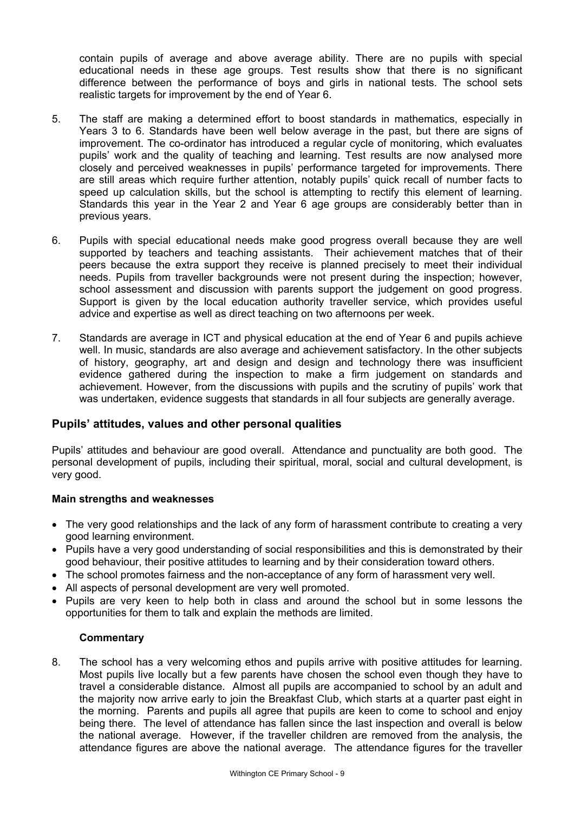contain pupils of average and above average ability. There are no pupils with special educational needs in these age groups. Test results show that there is no significant difference between the performance of boys and girls in national tests. The school sets realistic targets for improvement by the end of Year 6.

- 5. The staff are making a determined effort to boost standards in mathematics, especially in Years 3 to 6. Standards have been well below average in the past, but there are signs of improvement. The co-ordinator has introduced a regular cycle of monitoring, which evaluates pupils' work and the quality of teaching and learning. Test results are now analysed more closely and perceived weaknesses in pupils' performance targeted for improvements. There are still areas which require further attention, notably pupils' quick recall of number facts to speed up calculation skills, but the school is attempting to rectify this element of learning. Standards this year in the Year 2 and Year 6 age groups are considerably better than in previous years.
- 6. Pupils with special educational needs make good progress overall because they are well supported by teachers and teaching assistants. Their achievement matches that of their peers because the extra support they receive is planned precisely to meet their individual needs. Pupils from traveller backgrounds were not present during the inspection; however, school assessment and discussion with parents support the judgement on good progress. Support is given by the local education authority traveller service, which provides useful advice and expertise as well as direct teaching on two afternoons per week.
- 7. Standards are average in ICT and physical education at the end of Year 6 and pupils achieve well. In music, standards are also average and achievement satisfactory. In the other subjects of history, geography, art and design and design and technology there was insufficient evidence gathered during the inspection to make a firm judgement on standards and achievement. However, from the discussions with pupils and the scrutiny of pupils' work that was undertaken, evidence suggests that standards in all four subjects are generally average.

### **Pupils' attitudes, values and other personal qualities**

Pupils' attitudes and behaviour are good overall. Attendance and punctuality are both good. The personal development of pupils, including their spiritual, moral, social and cultural development, is very good.

### **Main strengths and weaknesses**

- The very good relationships and the lack of any form of harassment contribute to creating a very good learning environment.
- Pupils have a very good understanding of social responsibilities and this is demonstrated by their good behaviour, their positive attitudes to learning and by their consideration toward others.
- The school promotes fairness and the non-acceptance of any form of harassment very well.
- All aspects of personal development are very well promoted.
- Pupils are very keen to help both in class and around the school but in some lessons the opportunities for them to talk and explain the methods are limited.

### **Commentary**

8. The school has a very welcoming ethos and pupils arrive with positive attitudes for learning. Most pupils live locally but a few parents have chosen the school even though they have to travel a considerable distance. Almost all pupils are accompanied to school by an adult and the majority now arrive early to join the Breakfast Club, which starts at a quarter past eight in the morning. Parents and pupils all agree that pupils are keen to come to school and enjoy being there. The level of attendance has fallen since the last inspection and overall is below the national average. However, if the traveller children are removed from the analysis, the attendance figures are above the national average. The attendance figures for the traveller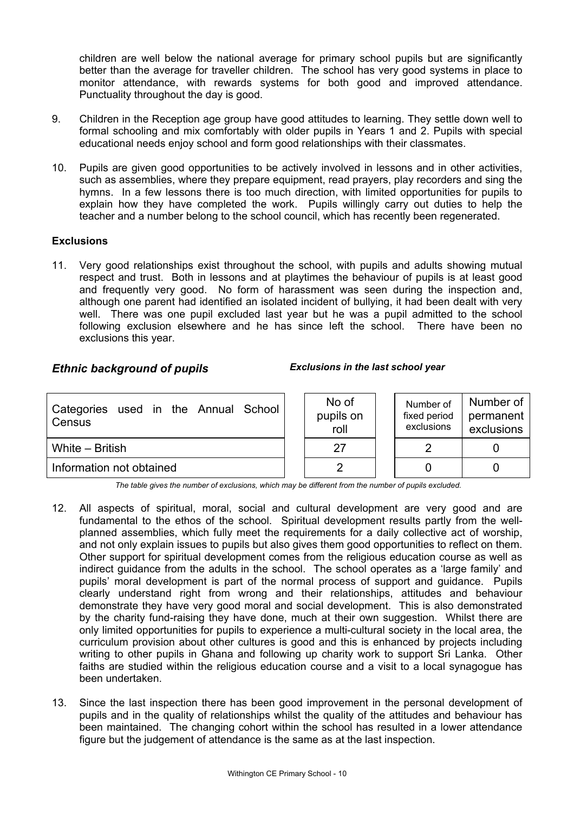children are well below the national average for primary school pupils but are significantly better than the average for traveller children. The school has very good systems in place to monitor attendance, with rewards systems for both good and improved attendance. Punctuality throughout the day is good.

- 9. Children in the Reception age group have good attitudes to learning. They settle down well to formal schooling and mix comfortably with older pupils in Years 1 and 2. Pupils with special educational needs enjoy school and form good relationships with their classmates.
- 10. Pupils are given good opportunities to be actively involved in lessons and in other activities, such as assemblies, where they prepare equipment, read prayers, play recorders and sing the hymns. In a few lessons there is too much direction, with limited opportunities for pupils to explain how they have completed the work. Pupils willingly carry out duties to help the teacher and a number belong to the school council, which has recently been regenerated.

### **Exclusions**

11. Very good relationships exist throughout the school, with pupils and adults showing mutual respect and trust. Both in lessons and at playtimes the behaviour of pupils is at least good and frequently very good. No form of harassment was seen during the inspection and, although one parent had identified an isolated incident of bullying, it had been dealt with very well. There was one pupil excluded last year but he was a pupil admitted to the school following exclusion elsewhere and he has since left the school. There have been no exclusions this year.

### *Ethnic background of pupils Exclusions in the last school year*

| Categories used in the Annual School<br>Census | No of<br>pupils on<br>roll | Number of<br>fixed period<br>exclusions | Number of<br>permanent<br>exclusions |
|------------------------------------------------|----------------------------|-----------------------------------------|--------------------------------------|
| White – British                                | 27                         |                                         |                                      |
| Information not obtained                       |                            |                                         |                                      |

*The table gives the number of exclusions, which may be different from the number of pupils excluded.*

- 12. All aspects of spiritual, moral, social and cultural development are very good and are fundamental to the ethos of the school. Spiritual development results partly from the wellplanned assemblies, which fully meet the requirements for a daily collective act of worship, and not only explain issues to pupils but also gives them good opportunities to reflect on them. Other support for spiritual development comes from the religious education course as well as indirect guidance from the adults in the school. The school operates as a 'large family' and pupils' moral development is part of the normal process of support and guidance. Pupils clearly understand right from wrong and their relationships, attitudes and behaviour demonstrate they have very good moral and social development. This is also demonstrated by the charity fund-raising they have done, much at their own suggestion. Whilst there are only limited opportunities for pupils to experience a multi-cultural society in the local area, the curriculum provision about other cultures is good and this is enhanced by projects including writing to other pupils in Ghana and following up charity work to support Sri Lanka. Other faiths are studied within the religious education course and a visit to a local synagogue has been undertaken.
- 13. Since the last inspection there has been good improvement in the personal development of pupils and in the quality of relationships whilst the quality of the attitudes and behaviour has been maintained. The changing cohort within the school has resulted in a lower attendance figure but the judgement of attendance is the same as at the last inspection.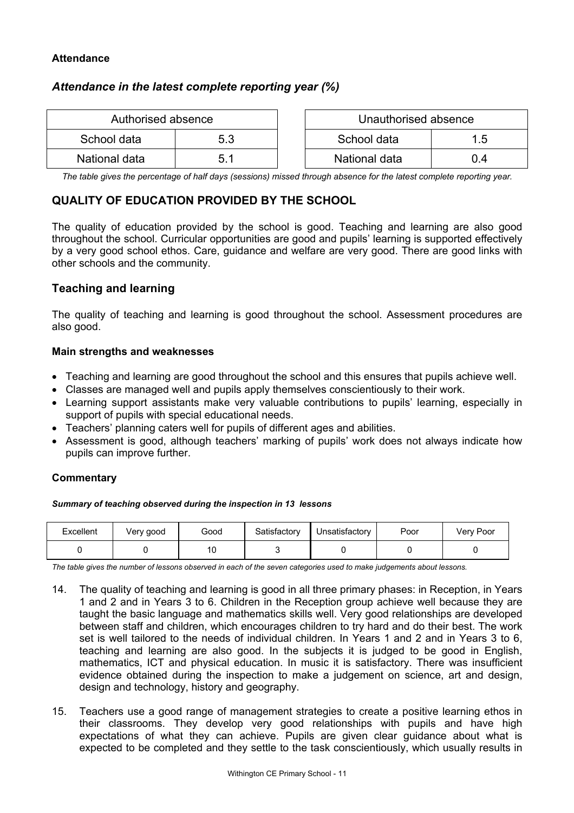### **Attendance**

# *Attendance in the latest complete reporting year (%)*

| Authorised absence |     | Unauthorised absence |     |
|--------------------|-----|----------------------|-----|
| School data        | 5.3 | School data          | 1.5 |
| National data      | 5.1 | National data        | 0.4 |

| Authorised absence |     | Unauthorised absence |     |
|--------------------|-----|----------------------|-----|
| data اه            | 5.3 | School data<br>1.5   |     |
| al data            | 5.1 | National data        | ი 4 |

*The table gives the percentage of half days (sessions) missed through absence for the latest complete reporting year.*

# **QUALITY OF EDUCATION PROVIDED BY THE SCHOOL**

The quality of education provided by the school is good. Teaching and learning are also good throughout the school. Curricular opportunities are good and pupils' learning is supported effectively by a very good school ethos. Care, guidance and welfare are very good. There are good links with other schools and the community.

# **Teaching and learning**

The quality of teaching and learning is good throughout the school. Assessment procedures are also good.

### **Main strengths and weaknesses**

- Teaching and learning are good throughout the school and this ensures that pupils achieve well.
- Classes are managed well and pupils apply themselves conscientiously to their work.
- Learning support assistants make very valuable contributions to pupils' learning, especially in support of pupils with special educational needs.
- Teachers' planning caters well for pupils of different ages and abilities.
- Assessment is good, although teachers' marking of pupils' work does not always indicate how pupils can improve further.

### **Commentary**

### *Summary of teaching observed during the inspection in 13 lessons*

| Excellent | Very good | Good | Satisfactory | Unsatisfactory | Poor | Very Poor |
|-----------|-----------|------|--------------|----------------|------|-----------|
|           |           | 10   |              |                |      |           |

*The table gives the number of lessons observed in each of the seven categories used to make judgements about lessons.* 

- 14. The quality of teaching and learning is good in all three primary phases: in Reception, in Years 1 and 2 and in Years 3 to 6. Children in the Reception group achieve well because they are taught the basic language and mathematics skills well. Very good relationships are developed between staff and children, which encourages children to try hard and do their best. The work set is well tailored to the needs of individual children. In Years 1 and 2 and in Years 3 to 6, teaching and learning are also good. In the subjects it is judged to be good in English, mathematics, ICT and physical education. In music it is satisfactory. There was insufficient evidence obtained during the inspection to make a judgement on science, art and design, design and technology, history and geography.
- 15. Teachers use a good range of management strategies to create a positive learning ethos in their classrooms. They develop very good relationships with pupils and have high expectations of what they can achieve. Pupils are given clear guidance about what is expected to be completed and they settle to the task conscientiously, which usually results in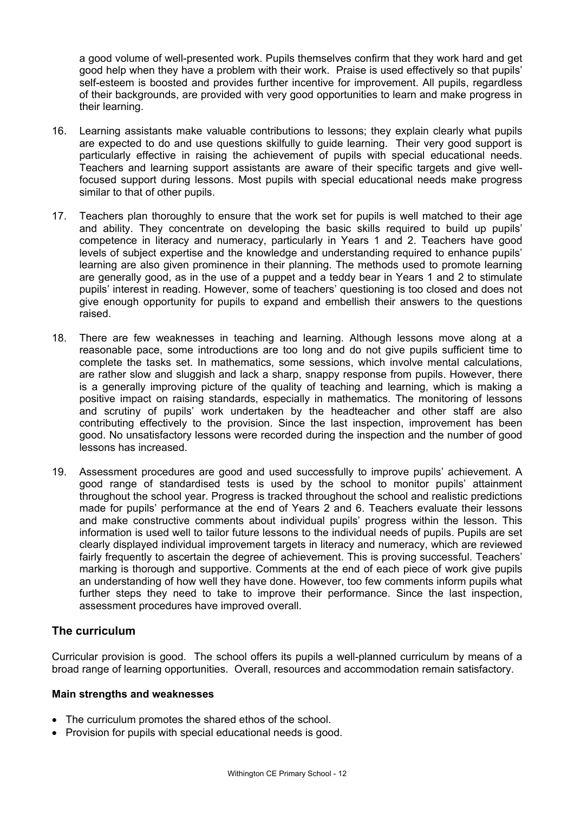a good volume of well-presented work. Pupils themselves confirm that they work hard and get good help when they have a problem with their work. Praise is used effectively so that pupils' self-esteem is boosted and provides further incentive for improvement. All pupils, regardless of their backgrounds, are provided with very good opportunities to learn and make progress in their learning.

- 16. Learning assistants make valuable contributions to lessons; they explain clearly what pupils are expected to do and use questions skilfully to guide learning. Their very good support is particularly effective in raising the achievement of pupils with special educational needs. Teachers and learning support assistants are aware of their specific targets and give wellfocused support during lessons. Most pupils with special educational needs make progress similar to that of other pupils.
- 17. Teachers plan thoroughly to ensure that the work set for pupils is well matched to their age and ability. They concentrate on developing the basic skills required to build up pupils' competence in literacy and numeracy, particularly in Years 1 and 2. Teachers have good levels of subject expertise and the knowledge and understanding required to enhance pupils' learning are also given prominence in their planning. The methods used to promote learning are generally good, as in the use of a puppet and a teddy bear in Years 1 and 2 to stimulate pupils' interest in reading. However, some of teachers' questioning is too closed and does not give enough opportunity for pupils to expand and embellish their answers to the questions raised.
- 18. There are few weaknesses in teaching and learning. Although lessons move along at a reasonable pace, some introductions are too long and do not give pupils sufficient time to complete the tasks set. In mathematics, some sessions, which involve mental calculations, are rather slow and sluggish and lack a sharp, snappy response from pupils. However, there is a generally improving picture of the quality of teaching and learning, which is making a positive impact on raising standards, especially in mathematics. The monitoring of lessons and scrutiny of pupils' work undertaken by the headteacher and other staff are also contributing effectively to the provision. Since the last inspection, improvement has been good. No unsatisfactory lessons were recorded during the inspection and the number of good lessons has increased.
- 19. Assessment procedures are good and used successfully to improve pupils' achievement. A good range of standardised tests is used by the school to monitor pupils' attainment throughout the school year. Progress is tracked throughout the school and realistic predictions made for pupils' performance at the end of Years 2 and 6. Teachers evaluate their lessons and make constructive comments about individual pupils' progress within the lesson. This information is used well to tailor future lessons to the individual needs of pupils. Pupils are set clearly displayed individual improvement targets in literacy and numeracy, which are reviewed fairly frequently to ascertain the degree of achievement. This is proving successful. Teachers' marking is thorough and supportive. Comments at the end of each piece of work give pupils an understanding of how well they have done. However, too few comments inform pupils what further steps they need to take to improve their performance. Since the last inspection, assessment procedures have improved overall.

# **The curriculum**

Curricular provision is good. The school offers its pupils a well-planned curriculum by means of a broad range of learning opportunities. Overall, resources and accommodation remain satisfactory.

### **Main strengths and weaknesses**

- The curriculum promotes the shared ethos of the school.
- Provision for pupils with special educational needs is good.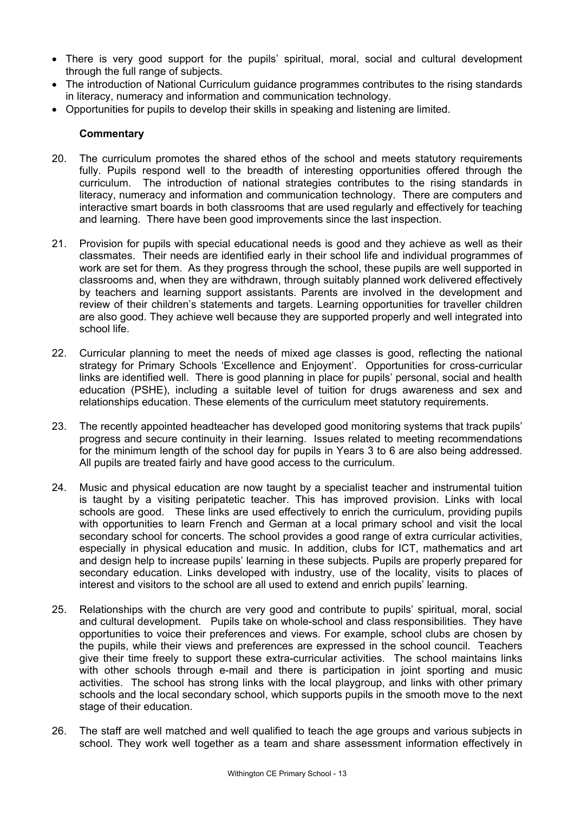- There is very good support for the pupils' spiritual, moral, social and cultural development through the full range of subjects.
- The introduction of National Curriculum guidance programmes contributes to the rising standards in literacy, numeracy and information and communication technology.
- Opportunities for pupils to develop their skills in speaking and listening are limited.

- 20. The curriculum promotes the shared ethos of the school and meets statutory requirements fully. Pupils respond well to the breadth of interesting opportunities offered through the curriculum. The introduction of national strategies contributes to the rising standards in literacy, numeracy and information and communication technology. There are computers and interactive smart boards in both classrooms that are used regularly and effectively for teaching and learning. There have been good improvements since the last inspection.
- 21. Provision for pupils with special educational needs is good and they achieve as well as their classmates. Their needs are identified early in their school life and individual programmes of work are set for them. As they progress through the school, these pupils are well supported in classrooms and, when they are withdrawn, through suitably planned work delivered effectively by teachers and learning support assistants. Parents are involved in the development and review of their children's statements and targets. Learning opportunities for traveller children are also good. They achieve well because they are supported properly and well integrated into school life.
- 22. Curricular planning to meet the needs of mixed age classes is good, reflecting the national strategy for Primary Schools 'Excellence and Enjoyment'. Opportunities for cross-curricular links are identified well. There is good planning in place for pupils' personal, social and health education (PSHE), including a suitable level of tuition for drugs awareness and sex and relationships education. These elements of the curriculum meet statutory requirements.
- 23. The recently appointed headteacher has developed good monitoring systems that track pupils' progress and secure continuity in their learning. Issues related to meeting recommendations for the minimum length of the school day for pupils in Years 3 to 6 are also being addressed. All pupils are treated fairly and have good access to the curriculum.
- 24. Music and physical education are now taught by a specialist teacher and instrumental tuition is taught by a visiting peripatetic teacher. This has improved provision. Links with local schools are good. These links are used effectively to enrich the curriculum, providing pupils with opportunities to learn French and German at a local primary school and visit the local secondary school for concerts. The school provides a good range of extra curricular activities, especially in physical education and music. In addition, clubs for ICT, mathematics and art and design help to increase pupils' learning in these subjects. Pupils are properly prepared for secondary education. Links developed with industry, use of the locality, visits to places of interest and visitors to the school are all used to extend and enrich pupils' learning.
- 25. Relationships with the church are very good and contribute to pupils' spiritual, moral, social and cultural development. Pupils take on whole-school and class responsibilities. They have opportunities to voice their preferences and views. For example, school clubs are chosen by the pupils, while their views and preferences are expressed in the school council. Teachers give their time freely to support these extra-curricular activities. The school maintains links with other schools through e-mail and there is participation in joint sporting and music activities. The school has strong links with the local playgroup, and links with other primary schools and the local secondary school, which supports pupils in the smooth move to the next stage of their education.
- 26. The staff are well matched and well qualified to teach the age groups and various subjects in school. They work well together as a team and share assessment information effectively in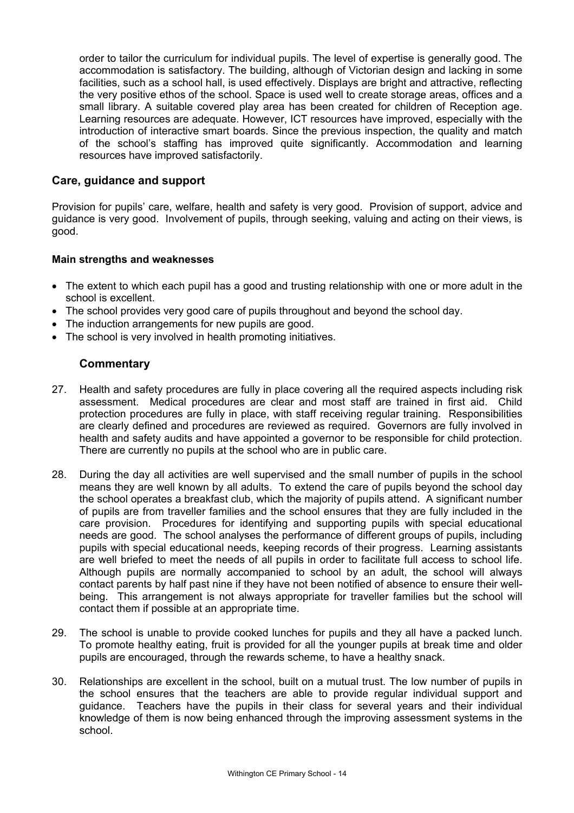order to tailor the curriculum for individual pupils. The level of expertise is generally good. The accommodation is satisfactory. The building, although of Victorian design and lacking in some facilities, such as a school hall, is used effectively. Displays are bright and attractive, reflecting the very positive ethos of the school. Space is used well to create storage areas, offices and a small library. A suitable covered play area has been created for children of Reception age. Learning resources are adequate. However, ICT resources have improved, especially with the introduction of interactive smart boards. Since the previous inspection, the quality and match of the school's staffing has improved quite significantly. Accommodation and learning resources have improved satisfactorily.

### **Care, guidance and support**

Provision for pupils' care, welfare, health and safety is very good. Provision of support, advice and guidance is very good. Involvement of pupils, through seeking, valuing and acting on their views, is good.

### **Main strengths and weaknesses**

- The extent to which each pupil has a good and trusting relationship with one or more adult in the school is excellent.
- The school provides very good care of pupils throughout and beyond the school day.
- The induction arrangements for new pupils are good.
- The school is very involved in health promoting initiatives.

- 27. Health and safety procedures are fully in place covering all the required aspects including risk assessment. Medical procedures are clear and most staff are trained in first aid. Child protection procedures are fully in place, with staff receiving regular training. Responsibilities are clearly defined and procedures are reviewed as required. Governors are fully involved in health and safety audits and have appointed a governor to be responsible for child protection. There are currently no pupils at the school who are in public care.
- 28. During the day all activities are well supervised and the small number of pupils in the school means they are well known by all adults. To extend the care of pupils beyond the school day the school operates a breakfast club, which the majority of pupils attend. A significant number of pupils are from traveller families and the school ensures that they are fully included in the care provision. Procedures for identifying and supporting pupils with special educational needs are good. The school analyses the performance of different groups of pupils, including pupils with special educational needs, keeping records of their progress. Learning assistants are well briefed to meet the needs of all pupils in order to facilitate full access to school life. Although pupils are normally accompanied to school by an adult, the school will always contact parents by half past nine if they have not been notified of absence to ensure their wellbeing. This arrangement is not always appropriate for traveller families but the school will contact them if possible at an appropriate time.
- 29. The school is unable to provide cooked lunches for pupils and they all have a packed lunch. To promote healthy eating, fruit is provided for all the younger pupils at break time and older pupils are encouraged, through the rewards scheme, to have a healthy snack.
- 30. Relationships are excellent in the school, built on a mutual trust. The low number of pupils in the school ensures that the teachers are able to provide regular individual support and guidance. Teachers have the pupils in their class for several years and their individual knowledge of them is now being enhanced through the improving assessment systems in the school.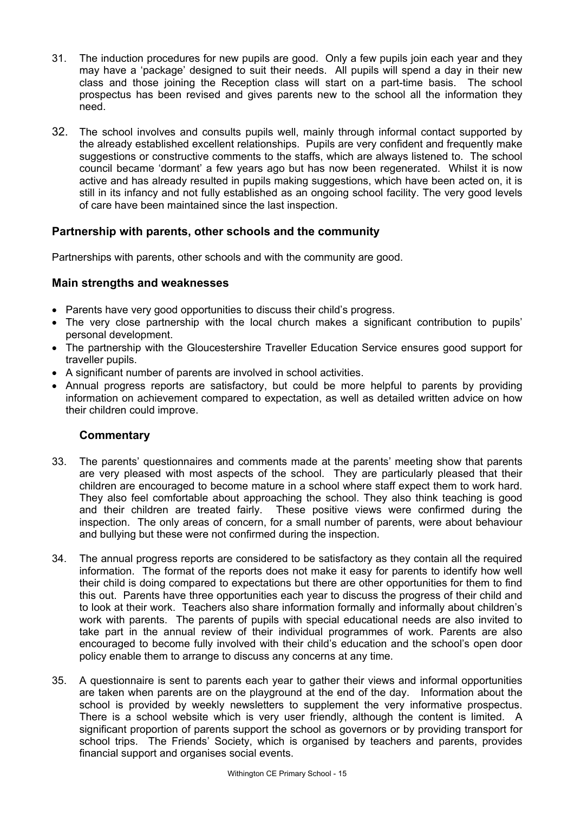- 31. The induction procedures for new pupils are good. Only a few pupils join each year and they may have a 'package' designed to suit their needs. All pupils will spend a day in their new class and those joining the Reception class will start on a part-time basis. The school prospectus has been revised and gives parents new to the school all the information they need.
- 32. The school involves and consults pupils well, mainly through informal contact supported by the already established excellent relationships. Pupils are very confident and frequently make suggestions or constructive comments to the staffs, which are always listened to. The school council became 'dormant' a few years ago but has now been regenerated. Whilst it is now active and has already resulted in pupils making suggestions, which have been acted on, it is still in its infancy and not fully established as an ongoing school facility. The very good levels of care have been maintained since the last inspection.

# **Partnership with parents, other schools and the community**

Partnerships with parents, other schools and with the community are good.

# **Main strengths and weaknesses**

- Parents have very good opportunities to discuss their child's progress.
- The very close partnership with the local church makes a significant contribution to pupils' personal development.
- The partnership with the Gloucestershire Traveller Education Service ensures good support for traveller pupils.
- A significant number of parents are involved in school activities.
- Annual progress reports are satisfactory, but could be more helpful to parents by providing information on achievement compared to expectation, as well as detailed written advice on how their children could improve.

- 33. The parents' questionnaires and comments made at the parents' meeting show that parents are very pleased with most aspects of the school. They are particularly pleased that their children are encouraged to become mature in a school where staff expect them to work hard. They also feel comfortable about approaching the school. They also think teaching is good and their children are treated fairly. These positive views were confirmed during the inspection. The only areas of concern, for a small number of parents, were about behaviour and bullying but these were not confirmed during the inspection.
- 34. The annual progress reports are considered to be satisfactory as they contain all the required information. The format of the reports does not make it easy for parents to identify how well their child is doing compared to expectations but there are other opportunities for them to find this out. Parents have three opportunities each year to discuss the progress of their child and to look at their work. Teachers also share information formally and informally about children's work with parents. The parents of pupils with special educational needs are also invited to take part in the annual review of their individual programmes of work. Parents are also encouraged to become fully involved with their child's education and the school's open door policy enable them to arrange to discuss any concerns at any time.
- 35. A questionnaire is sent to parents each year to gather their views and informal opportunities are taken when parents are on the playground at the end of the day. Information about the school is provided by weekly newsletters to supplement the very informative prospectus. There is a school website which is very user friendly, although the content is limited. A significant proportion of parents support the school as governors or by providing transport for school trips. The Friends' Society, which is organised by teachers and parents, provides financial support and organises social events.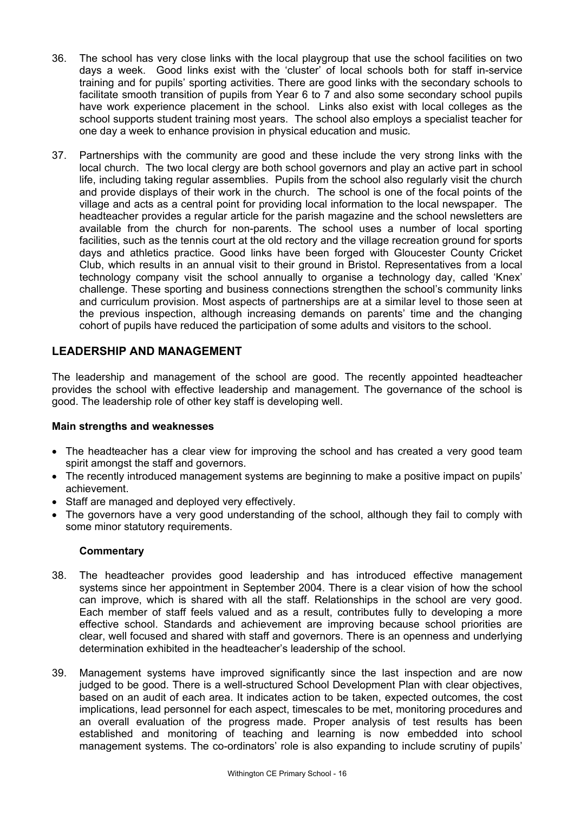- 36. The school has very close links with the local playgroup that use the school facilities on two days a week. Good links exist with the 'cluster' of local schools both for staff in-service training and for pupils' sporting activities. There are good links with the secondary schools to facilitate smooth transition of pupils from Year 6 to 7 and also some secondary school pupils have work experience placement in the school. Links also exist with local colleges as the school supports student training most years. The school also employs a specialist teacher for one day a week to enhance provision in physical education and music.
- 37. Partnerships with the community are good and these include the very strong links with the local church. The two local clergy are both school governors and play an active part in school life, including taking regular assemblies. Pupils from the school also regularly visit the church and provide displays of their work in the church. The school is one of the focal points of the village and acts as a central point for providing local information to the local newspaper. The headteacher provides a regular article for the parish magazine and the school newsletters are available from the church for non-parents. The school uses a number of local sporting facilities, such as the tennis court at the old rectory and the village recreation ground for sports days and athletics practice. Good links have been forged with Gloucester County Cricket Club, which results in an annual visit to their ground in Bristol. Representatives from a local technology company visit the school annually to organise a technology day, called 'Knex' challenge. These sporting and business connections strengthen the school's community links and curriculum provision. Most aspects of partnerships are at a similar level to those seen at the previous inspection, although increasing demands on parents' time and the changing cohort of pupils have reduced the participation of some adults and visitors to the school.

# **LEADERSHIP AND MANAGEMENT**

The leadership and management of the school are good. The recently appointed headteacher provides the school with effective leadership and management. The governance of the school is good. The leadership role of other key staff is developing well.

### **Main strengths and weaknesses**

- The headteacher has a clear view for improving the school and has created a very good team spirit amongst the staff and governors.
- The recently introduced management systems are beginning to make a positive impact on pupils' achievement.
- Staff are managed and deployed very effectively.
- The governors have a very good understanding of the school, although they fail to comply with some minor statutory requirements.

- 38. The headteacher provides good leadership and has introduced effective management systems since her appointment in September 2004. There is a clear vision of how the school can improve, which is shared with all the staff. Relationships in the school are very good. Each member of staff feels valued and as a result, contributes fully to developing a more effective school. Standards and achievement are improving because school priorities are clear, well focused and shared with staff and governors. There is an openness and underlying determination exhibited in the headteacher's leadership of the school.
- 39. Management systems have improved significantly since the last inspection and are now judged to be good. There is a well-structured School Development Plan with clear objectives, based on an audit of each area. It indicates action to be taken, expected outcomes, the cost implications, lead personnel for each aspect, timescales to be met, monitoring procedures and an overall evaluation of the progress made. Proper analysis of test results has been established and monitoring of teaching and learning is now embedded into school management systems. The co-ordinators' role is also expanding to include scrutiny of pupils'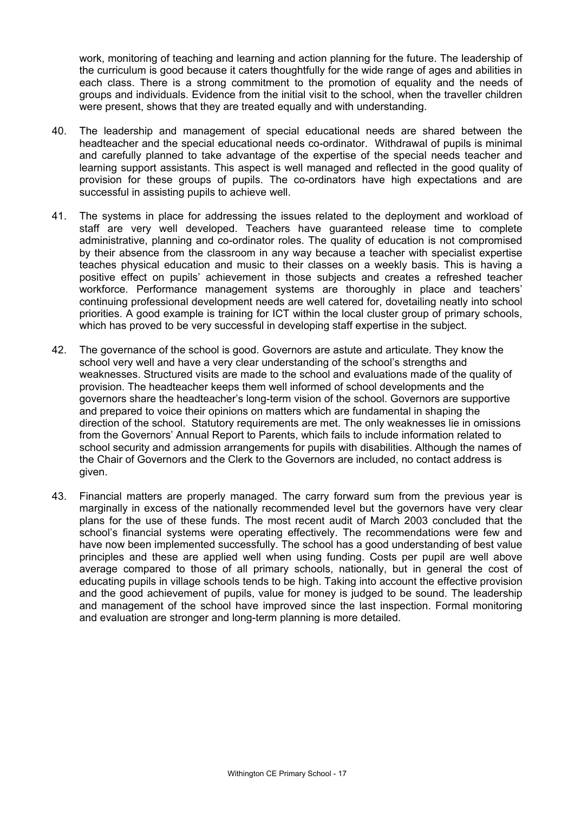work, monitoring of teaching and learning and action planning for the future. The leadership of the curriculum is good because it caters thoughtfully for the wide range of ages and abilities in each class. There is a strong commitment to the promotion of equality and the needs of groups and individuals. Evidence from the initial visit to the school, when the traveller children were present, shows that they are treated equally and with understanding.

- 40. The leadership and management of special educational needs are shared between the headteacher and the special educational needs co-ordinator. Withdrawal of pupils is minimal and carefully planned to take advantage of the expertise of the special needs teacher and learning support assistants. This aspect is well managed and reflected in the good quality of provision for these groups of pupils. The co-ordinators have high expectations and are successful in assisting pupils to achieve well.
- 41. The systems in place for addressing the issues related to the deployment and workload of staff are very well developed. Teachers have guaranteed release time to complete administrative, planning and co-ordinator roles. The quality of education is not compromised by their absence from the classroom in any way because a teacher with specialist expertise teaches physical education and music to their classes on a weekly basis. This is having a positive effect on pupils' achievement in those subjects and creates a refreshed teacher workforce. Performance management systems are thoroughly in place and teachers' continuing professional development needs are well catered for, dovetailing neatly into school priorities. A good example is training for ICT within the local cluster group of primary schools, which has proved to be very successful in developing staff expertise in the subject.
- 42. The governance of the school is good. Governors are astute and articulate. They know the school very well and have a very clear understanding of the school's strengths and weaknesses. Structured visits are made to the school and evaluations made of the quality of provision. The headteacher keeps them well informed of school developments and the governors share the headteacher's long-term vision of the school. Governors are supportive and prepared to voice their opinions on matters which are fundamental in shaping the direction of the school. Statutory requirements are met. The only weaknesses lie in omissions from the Governors' Annual Report to Parents, which fails to include information related to school security and admission arrangements for pupils with disabilities. Although the names of the Chair of Governors and the Clerk to the Governors are included, no contact address is given.
- 43. Financial matters are properly managed. The carry forward sum from the previous year is marginally in excess of the nationally recommended level but the governors have very clear plans for the use of these funds. The most recent audit of March 2003 concluded that the school's financial systems were operating effectively. The recommendations were few and have now been implemented successfully. The school has a good understanding of best value principles and these are applied well when using funding. Costs per pupil are well above average compared to those of all primary schools, nationally, but in general the cost of educating pupils in village schools tends to be high. Taking into account the effective provision and the good achievement of pupils, value for money is judged to be sound. The leadership and management of the school have improved since the last inspection. Formal monitoring and evaluation are stronger and long-term planning is more detailed.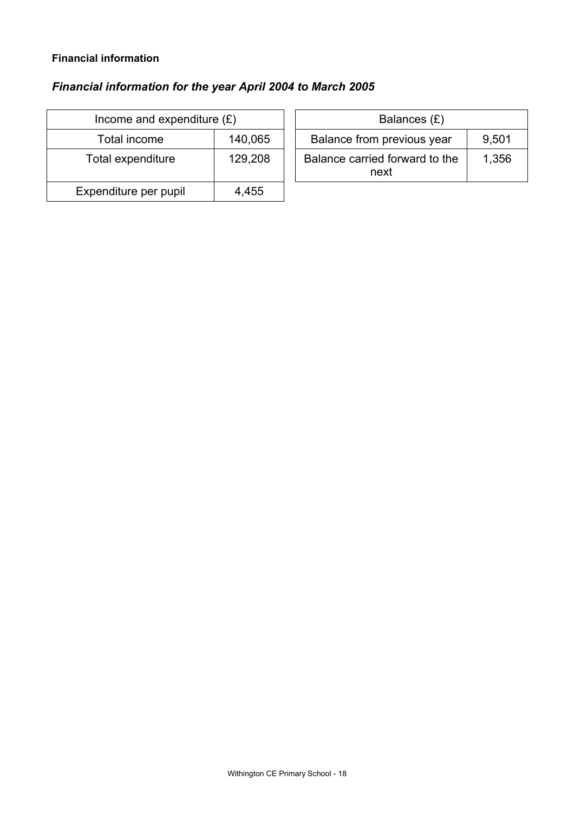### **Financial information**

# *Financial information for the year April 2004 to March 2005*

| Income and expenditure $(E)$ |         | Balances $(E)$                         |  |
|------------------------------|---------|----------------------------------------|--|
| Total income                 | 140,065 | Balance from previous year             |  |
| Total expenditure            | 129,208 | Balance carried forward to the<br>next |  |
| Expenditure per pupil        | 4,455   |                                        |  |

| ncome and expenditure $(E)$ |         | Balances (£)                           |       |
|-----------------------------|---------|----------------------------------------|-------|
| Total income                | 140,065 | Balance from previous year             | 9,501 |
| tal expenditure             | 129,208 | Balance carried forward to the<br>next | 1,356 |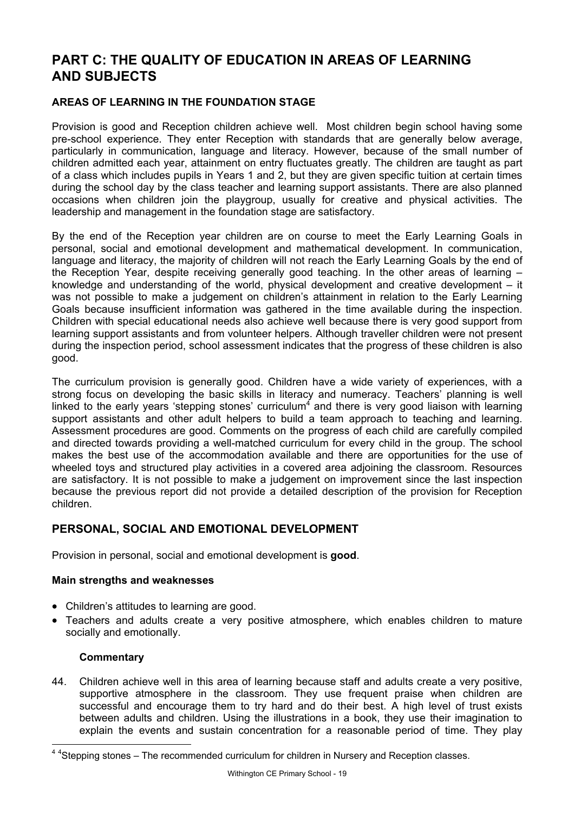# **PART C: THE QUALITY OF EDUCATION IN AREAS OF LEARNING AND SUBJECTS**

### **AREAS OF LEARNING IN THE FOUNDATION STAGE**

Provision is good and Reception children achieve well. Most children begin school having some pre-school experience. They enter Reception with standards that are generally below average, particularly in communication, language and literacy. However, because of the small number of children admitted each year, attainment on entry fluctuates greatly. The children are taught as part of a class which includes pupils in Years 1 and 2, but they are given specific tuition at certain times during the school day by the class teacher and learning support assistants. There are also planned occasions when children join the playgroup, usually for creative and physical activities. The leadership and management in the foundation stage are satisfactory.

By the end of the Reception year children are on course to meet the Early Learning Goals in personal, social and emotional development and mathematical development. In communication, language and literacy, the majority of children will not reach the Early Learning Goals by the end of the Reception Year, despite receiving generally good teaching. In the other areas of learning – knowledge and understanding of the world, physical development and creative development – it was not possible to make a judgement on children's attainment in relation to the Early Learning Goals because insufficient information was gathered in the time available during the inspection. Children with special educational needs also achieve well because there is very good support from learning support assistants and from volunteer helpers. Although traveller children were not present during the inspection period, school assessment indicates that the progress of these children is also good.

The curriculum provision is generally good. Children have a wide variety of experiences, with a strong focus on developing the basic skills in literacy and numeracy. Teachers' planning is well linked to the early years 'stepping stones' curriculum<sup>4</sup> and there is very good liaison with learning support assistants and other adult helpers to build a team approach to teaching and learning. Assessment procedures are good. Comments on the progress of each child are carefully compiled and directed towards providing a well-matched curriculum for every child in the group. The school makes the best use of the accommodation available and there are opportunities for the use of wheeled toys and structured play activities in a covered area adjoining the classroom. Resources are satisfactory. It is not possible to make a judgement on improvement since the last inspection because the previous report did not provide a detailed description of the provision for Reception children.

# **PERSONAL, SOCIAL AND EMOTIONAL DEVELOPMENT**

Provision in personal, social and emotional development is **good**.

### **Main strengths and weaknesses**

- Children's attitudes to learning are good.
- Teachers and adults create a very positive atmosphere, which enables children to mature socially and emotionally.

### **Commentary**

l

44. Children achieve well in this area of learning because staff and adults create a very positive, supportive atmosphere in the classroom. They use frequent praise when children are successful and encourage them to try hard and do their best. A high level of trust exists between adults and children. Using the illustrations in a book, they use their imagination to explain the events and sustain concentration for a reasonable period of time. They play

<sup>&</sup>lt;sup>44</sup>Stepping stones – The recommended curriculum for children in Nursery and Reception classes.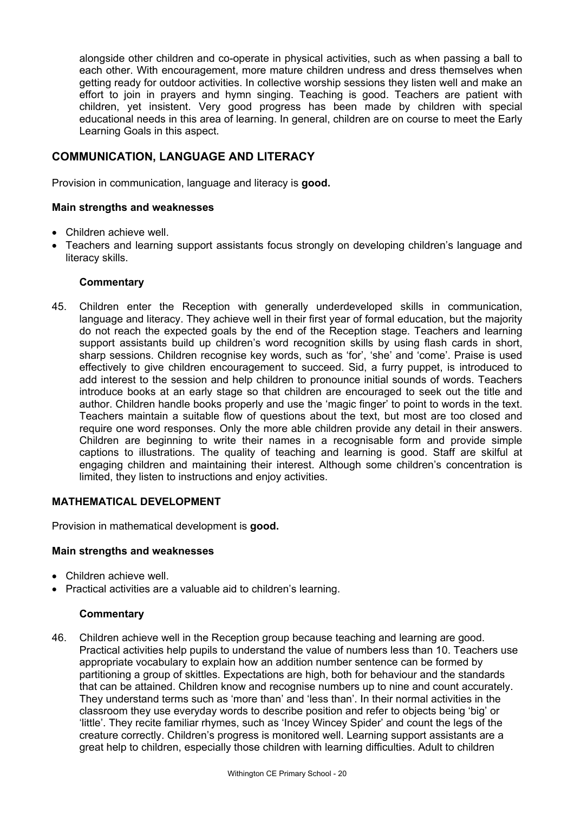alongside other children and co-operate in physical activities, such as when passing a ball to each other. With encouragement, more mature children undress and dress themselves when getting ready for outdoor activities. In collective worship sessions they listen well and make an effort to join in prayers and hymn singing. Teaching is good. Teachers are patient with children, yet insistent. Very good progress has been made by children with special educational needs in this area of learning. In general, children are on course to meet the Early Learning Goals in this aspect.

# **COMMUNICATION, LANGUAGE AND LITERACY**

Provision in communication, language and literacy is **good.** 

### **Main strengths and weaknesses**

- Children achieve well.
- Teachers and learning support assistants focus strongly on developing children's language and literacy skills.

### **Commentary**

45. Children enter the Reception with generally underdeveloped skills in communication, language and literacy. They achieve well in their first year of formal education, but the majority do not reach the expected goals by the end of the Reception stage. Teachers and learning support assistants build up children's word recognition skills by using flash cards in short, sharp sessions. Children recognise key words, such as 'for', 'she' and 'come'. Praise is used effectively to give children encouragement to succeed. Sid, a furry puppet, is introduced to add interest to the session and help children to pronounce initial sounds of words. Teachers introduce books at an early stage so that children are encouraged to seek out the title and author. Children handle books properly and use the 'magic finger' to point to words in the text. Teachers maintain a suitable flow of questions about the text, but most are too closed and require one word responses. Only the more able children provide any detail in their answers. Children are beginning to write their names in a recognisable form and provide simple captions to illustrations. The quality of teaching and learning is good. Staff are skilful at engaging children and maintaining their interest. Although some children's concentration is limited, they listen to instructions and enjoy activities.

### **MATHEMATICAL DEVELOPMENT**

Provision in mathematical development is **good.**

### **Main strengths and weaknesses**

- Children achieve well.
- Practical activities are a valuable aid to children's learning.

### **Commentary**

46. Children achieve well in the Reception group because teaching and learning are good. Practical activities help pupils to understand the value of numbers less than 10. Teachers use appropriate vocabulary to explain how an addition number sentence can be formed by partitioning a group of skittles. Expectations are high, both for behaviour and the standards that can be attained. Children know and recognise numbers up to nine and count accurately. They understand terms such as 'more than' and 'less than'. In their normal activities in the classroom they use everyday words to describe position and refer to objects being 'big' or 'little'. They recite familiar rhymes, such as 'Incey Wincey Spider' and count the legs of the creature correctly. Children's progress is monitored well. Learning support assistants are a great help to children, especially those children with learning difficulties. Adult to children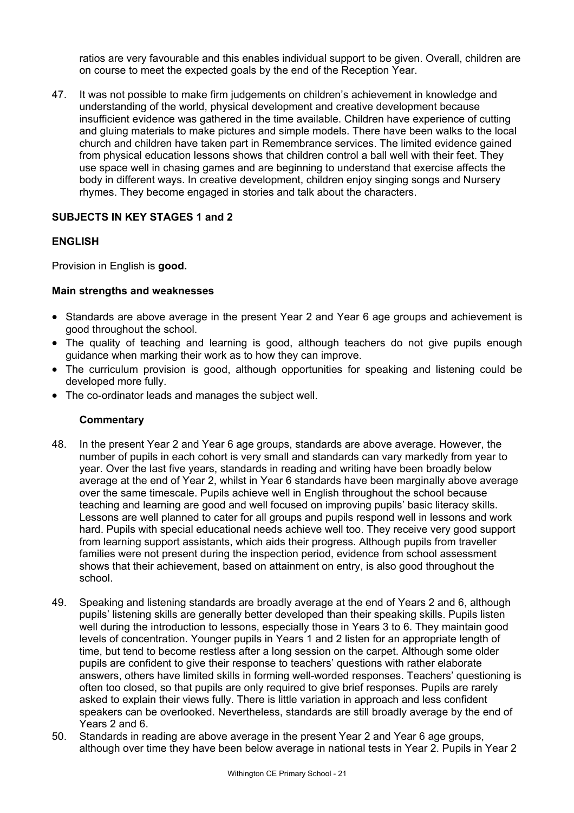ratios are very favourable and this enables individual support to be given. Overall, children are on course to meet the expected goals by the end of the Reception Year.

47. It was not possible to make firm judgements on children's achievement in knowledge and understanding of the world, physical development and creative development because insufficient evidence was gathered in the time available. Children have experience of cutting and gluing materials to make pictures and simple models. There have been walks to the local church and children have taken part in Remembrance services. The limited evidence gained from physical education lessons shows that children control a ball well with their feet. They use space well in chasing games and are beginning to understand that exercise affects the body in different ways. In creative development, children enjoy singing songs and Nursery rhymes. They become engaged in stories and talk about the characters.

### **SUBJECTS IN KEY STAGES 1 and 2**

### **ENGLISH**

Provision in English is **good.** 

### **Main strengths and weaknesses**

- Standards are above average in the present Year 2 and Year 6 age groups and achievement is good throughout the school.
- The quality of teaching and learning is good, although teachers do not give pupils enough guidance when marking their work as to how they can improve.
- The curriculum provision is good, although opportunities for speaking and listening could be developed more fully.
- The co-ordinator leads and manages the subject well.

- 48. In the present Year 2 and Year 6 age groups, standards are above average. However, the number of pupils in each cohort is very small and standards can vary markedly from year to year. Over the last five years, standards in reading and writing have been broadly below average at the end of Year 2, whilst in Year 6 standards have been marginally above average over the same timescale. Pupils achieve well in English throughout the school because teaching and learning are good and well focused on improving pupils' basic literacy skills. Lessons are well planned to cater for all groups and pupils respond well in lessons and work hard. Pupils with special educational needs achieve well too. They receive very good support from learning support assistants, which aids their progress. Although pupils from traveller families were not present during the inspection period, evidence from school assessment shows that their achievement, based on attainment on entry, is also good throughout the school.
- 49. Speaking and listening standards are broadly average at the end of Years 2 and 6, although pupils' listening skills are generally better developed than their speaking skills. Pupils listen well during the introduction to lessons, especially those in Years 3 to 6. They maintain good levels of concentration. Younger pupils in Years 1 and 2 listen for an appropriate length of time, but tend to become restless after a long session on the carpet. Although some older pupils are confident to give their response to teachers' questions with rather elaborate answers, others have limited skills in forming well-worded responses. Teachers' questioning is often too closed, so that pupils are only required to give brief responses. Pupils are rarely asked to explain their views fully. There is little variation in approach and less confident speakers can be overlooked. Nevertheless, standards are still broadly average by the end of Years 2 and 6.
- 50. Standards in reading are above average in the present Year 2 and Year 6 age groups, although over time they have been below average in national tests in Year 2. Pupils in Year 2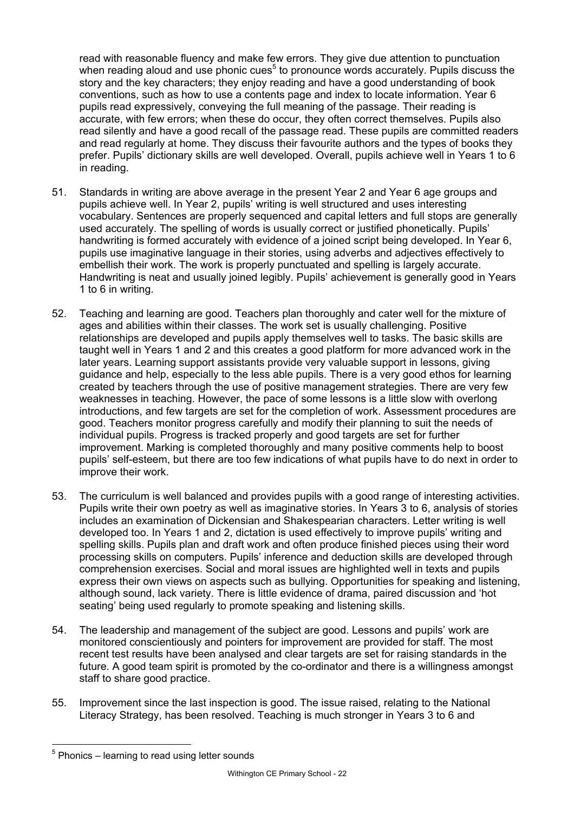read with reasonable fluency and make few errors. They give due attention to punctuation when reading aloud and use phonic cues<sup>5</sup> to pronounce words accurately. Pupils discuss the story and the key characters; they enjoy reading and have a good understanding of book conventions, such as how to use a contents page and index to locate information. Year 6 pupils read expressively, conveying the full meaning of the passage. Their reading is accurate, with few errors; when these do occur, they often correct themselves. Pupils also read silently and have a good recall of the passage read. These pupils are committed readers and read regularly at home. They discuss their favourite authors and the types of books they prefer. Pupils' dictionary skills are well developed. Overall, pupils achieve well in Years 1 to 6 in reading.

- 51. Standards in writing are above average in the present Year 2 and Year 6 age groups and pupils achieve well. In Year 2, pupils' writing is well structured and uses interesting vocabulary. Sentences are properly sequenced and capital letters and full stops are generally used accurately. The spelling of words is usually correct or justified phonetically. Pupils' handwriting is formed accurately with evidence of a joined script being developed. In Year 6, pupils use imaginative language in their stories, using adverbs and adjectives effectively to embellish their work. The work is properly punctuated and spelling is largely accurate. Handwriting is neat and usually joined legibly. Pupils' achievement is generally good in Years 1 to 6 in writing.
- 52. Teaching and learning are good. Teachers plan thoroughly and cater well for the mixture of ages and abilities within their classes. The work set is usually challenging. Positive relationships are developed and pupils apply themselves well to tasks. The basic skills are taught well in Years 1 and 2 and this creates a good platform for more advanced work in the later years. Learning support assistants provide very valuable support in lessons, giving guidance and help, especially to the less able pupils. There is a very good ethos for learning created by teachers through the use of positive management strategies. There are very few weaknesses in teaching. However, the pace of some lessons is a little slow with overlong introductions, and few targets are set for the completion of work. Assessment procedures are good. Teachers monitor progress carefully and modify their planning to suit the needs of individual pupils. Progress is tracked properly and good targets are set for further improvement. Marking is completed thoroughly and many positive comments help to boost pupils' self-esteem, but there are too few indications of what pupils have to do next in order to improve their work.
- 53. The curriculum is well balanced and provides pupils with a good range of interesting activities. Pupils write their own poetry as well as imaginative stories. In Years 3 to 6, analysis of stories includes an examination of Dickensian and Shakespearian characters. Letter writing is well developed too. In Years 1 and 2, dictation is used effectively to improve pupils' writing and spelling skills. Pupils plan and draft work and often produce finished pieces using their word processing skills on computers. Pupils' inference and deduction skills are developed through comprehension exercises. Social and moral issues are highlighted well in texts and pupils express their own views on aspects such as bullying. Opportunities for speaking and listening, although sound, lack variety. There is little evidence of drama, paired discussion and 'hot seating' being used regularly to promote speaking and listening skills.
- 54. The leadership and management of the subject are good. Lessons and pupils' work are monitored conscientiously and pointers for improvement are provided for staff. The most recent test results have been analysed and clear targets are set for raising standards in the future. A good team spirit is promoted by the co-ordinator and there is a willingness amongst staff to share good practice.
- 55. Improvement since the last inspection is good. The issue raised, relating to the National Literacy Strategy, has been resolved. Teaching is much stronger in Years 3 to 6 and

l  $5$  Phonics – learning to read using letter sounds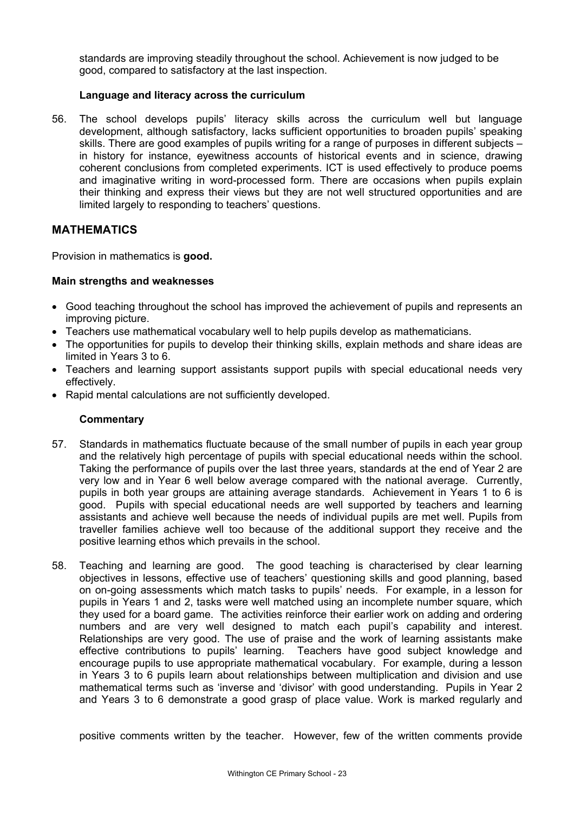standards are improving steadily throughout the school. Achievement is now judged to be good, compared to satisfactory at the last inspection.

### **Language and literacy across the curriculum**

56. The school develops pupils' literacy skills across the curriculum well but language development, although satisfactory, lacks sufficient opportunities to broaden pupils' speaking skills. There are good examples of pupils writing for a range of purposes in different subjects – in history for instance, eyewitness accounts of historical events and in science, drawing coherent conclusions from completed experiments. ICT is used effectively to produce poems and imaginative writing in word-processed form. There are occasions when pupils explain their thinking and express their views but they are not well structured opportunities and are limited largely to responding to teachers' questions.

# **MATHEMATICS**

Provision in mathematics is **good.** 

### **Main strengths and weaknesses**

- Good teaching throughout the school has improved the achievement of pupils and represents an improving picture.
- Teachers use mathematical vocabulary well to help pupils develop as mathematicians.
- The opportunities for pupils to develop their thinking skills, explain methods and share ideas are limited in Years 3 to 6.
- Teachers and learning support assistants support pupils with special educational needs very effectively.
- Rapid mental calculations are not sufficiently developed.

### **Commentary**

- 57. Standards in mathematics fluctuate because of the small number of pupils in each year group and the relatively high percentage of pupils with special educational needs within the school. Taking the performance of pupils over the last three years, standards at the end of Year 2 are very low and in Year 6 well below average compared with the national average. Currently, pupils in both year groups are attaining average standards. Achievement in Years 1 to 6 is good. Pupils with special educational needs are well supported by teachers and learning assistants and achieve well because the needs of individual pupils are met well. Pupils from traveller families achieve well too because of the additional support they receive and the positive learning ethos which prevails in the school.
- 58. Teaching and learning are good. The good teaching is characterised by clear learning objectives in lessons, effective use of teachers' questioning skills and good planning, based on on-going assessments which match tasks to pupils' needs. For example, in a lesson for pupils in Years 1 and 2, tasks were well matched using an incomplete number square, which they used for a board game. The activities reinforce their earlier work on adding and ordering numbers and are very well designed to match each pupil's capability and interest. Relationships are very good. The use of praise and the work of learning assistants make effective contributions to pupils' learning. Teachers have good subject knowledge and encourage pupils to use appropriate mathematical vocabulary. For example, during a lesson in Years 3 to 6 pupils learn about relationships between multiplication and division and use mathematical terms such as 'inverse and 'divisor' with good understanding. Pupils in Year 2 and Years 3 to 6 demonstrate a good grasp of place value. Work is marked regularly and

positive comments written by the teacher. However, few of the written comments provide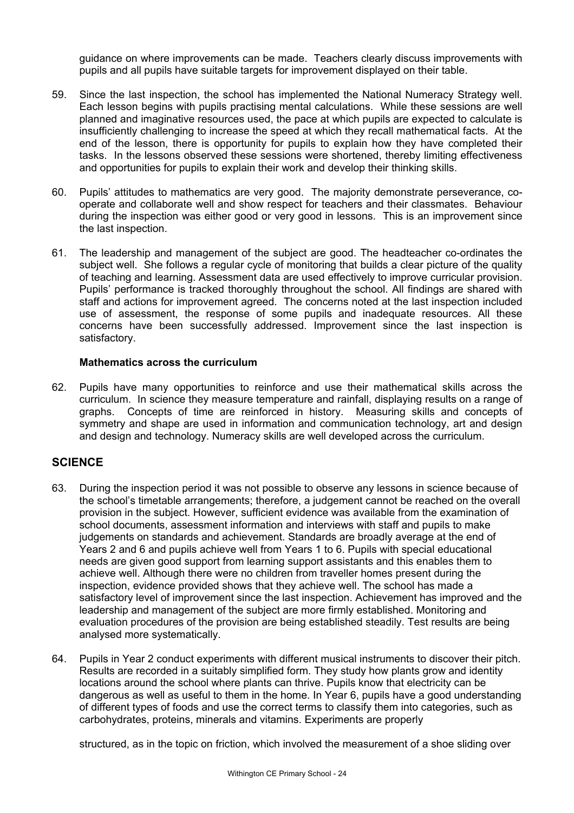guidance on where improvements can be made. Teachers clearly discuss improvements with pupils and all pupils have suitable targets for improvement displayed on their table.

- 59. Since the last inspection, the school has implemented the National Numeracy Strategy well. Each lesson begins with pupils practising mental calculations. While these sessions are well planned and imaginative resources used, the pace at which pupils are expected to calculate is insufficiently challenging to increase the speed at which they recall mathematical facts. At the end of the lesson, there is opportunity for pupils to explain how they have completed their tasks. In the lessons observed these sessions were shortened, thereby limiting effectiveness and opportunities for pupils to explain their work and develop their thinking skills.
- 60. Pupils' attitudes to mathematics are very good. The majority demonstrate perseverance, cooperate and collaborate well and show respect for teachers and their classmates. Behaviour during the inspection was either good or very good in lessons. This is an improvement since the last inspection.
- 61. The leadership and management of the subject are good. The headteacher co-ordinates the subject well. She follows a regular cycle of monitoring that builds a clear picture of the quality of teaching and learning. Assessment data are used effectively to improve curricular provision. Pupils' performance is tracked thoroughly throughout the school. All findings are shared with staff and actions for improvement agreed. The concerns noted at the last inspection included use of assessment, the response of some pupils and inadequate resources. All these concerns have been successfully addressed. Improvement since the last inspection is satisfactory.

### **Mathematics across the curriculum**

62. Pupils have many opportunities to reinforce and use their mathematical skills across the curriculum. In science they measure temperature and rainfall, displaying results on a range of graphs. Concepts of time are reinforced in history. Measuring skills and concepts of symmetry and shape are used in information and communication technology, art and design and design and technology. Numeracy skills are well developed across the curriculum.

### **SCIENCE**

- 63. During the inspection period it was not possible to observe any lessons in science because of the school's timetable arrangements; therefore, a judgement cannot be reached on the overall provision in the subject. However, sufficient evidence was available from the examination of school documents, assessment information and interviews with staff and pupils to make judgements on standards and achievement. Standards are broadly average at the end of Years 2 and 6 and pupils achieve well from Years 1 to 6. Pupils with special educational needs are given good support from learning support assistants and this enables them to achieve well. Although there were no children from traveller homes present during the inspection, evidence provided shows that they achieve well. The school has made a satisfactory level of improvement since the last inspection. Achievement has improved and the leadership and management of the subject are more firmly established. Monitoring and evaluation procedures of the provision are being established steadily. Test results are being analysed more systematically.
- 64. Pupils in Year 2 conduct experiments with different musical instruments to discover their pitch. Results are recorded in a suitably simplified form. They study how plants grow and identity locations around the school where plants can thrive. Pupils know that electricity can be dangerous as well as useful to them in the home. In Year 6, pupils have a good understanding of different types of foods and use the correct terms to classify them into categories, such as carbohydrates, proteins, minerals and vitamins. Experiments are properly

structured, as in the topic on friction, which involved the measurement of a shoe sliding over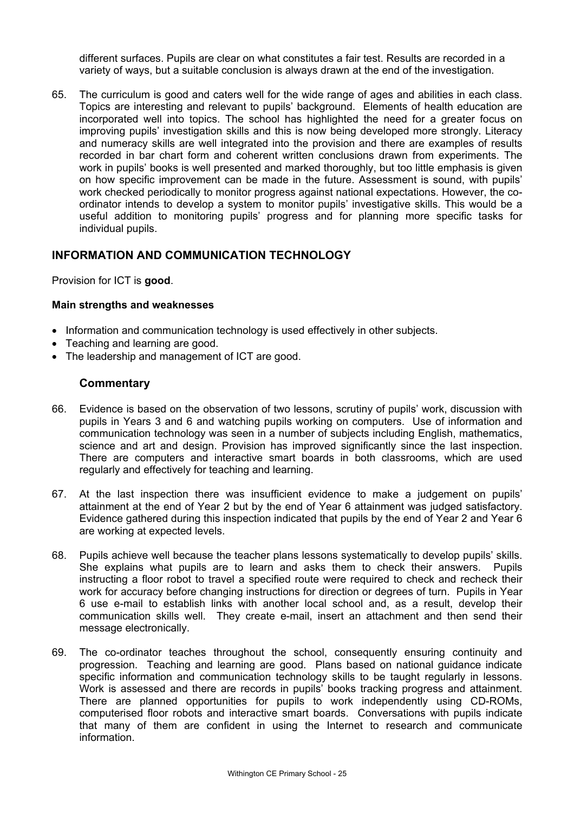different surfaces. Pupils are clear on what constitutes a fair test. Results are recorded in a variety of ways, but a suitable conclusion is always drawn at the end of the investigation.

65. The curriculum is good and caters well for the wide range of ages and abilities in each class. Topics are interesting and relevant to pupils' background. Elements of health education are incorporated well into topics. The school has highlighted the need for a greater focus on improving pupils' investigation skills and this is now being developed more strongly. Literacy and numeracy skills are well integrated into the provision and there are examples of results recorded in bar chart form and coherent written conclusions drawn from experiments. The work in pupils' books is well presented and marked thoroughly, but too little emphasis is given on how specific improvement can be made in the future. Assessment is sound, with pupils' work checked periodically to monitor progress against national expectations. However, the coordinator intends to develop a system to monitor pupils' investigative skills. This would be a useful addition to monitoring pupils' progress and for planning more specific tasks for individual pupils.

### **INFORMATION AND COMMUNICATION TECHNOLOGY**

Provision for ICT is **good**.

### **Main strengths and weaknesses**

- Information and communication technology is used effectively in other subjects.
- Teaching and learning are good.
- The leadership and management of ICT are good.

- 66. Evidence is based on the observation of two lessons, scrutiny of pupils' work, discussion with pupils in Years 3 and 6 and watching pupils working on computers. Use of information and communication technology was seen in a number of subjects including English, mathematics, science and art and design. Provision has improved significantly since the last inspection. There are computers and interactive smart boards in both classrooms, which are used regularly and effectively for teaching and learning.
- 67. At the last inspection there was insufficient evidence to make a judgement on pupils' attainment at the end of Year 2 but by the end of Year 6 attainment was judged satisfactory. Evidence gathered during this inspection indicated that pupils by the end of Year 2 and Year 6 are working at expected levels.
- 68. Pupils achieve well because the teacher plans lessons systematically to develop pupils' skills. She explains what pupils are to learn and asks them to check their answers. Pupils instructing a floor robot to travel a specified route were required to check and recheck their work for accuracy before changing instructions for direction or degrees of turn. Pupils in Year 6 use e-mail to establish links with another local school and, as a result, develop their communication skills well. They create e-mail, insert an attachment and then send their message electronically.
- 69. The co-ordinator teaches throughout the school, consequently ensuring continuity and progression. Teaching and learning are good. Plans based on national guidance indicate specific information and communication technology skills to be taught regularly in lessons. Work is assessed and there are records in pupils' books tracking progress and attainment. There are planned opportunities for pupils to work independently using CD-ROMs, computerised floor robots and interactive smart boards. Conversations with pupils indicate that many of them are confident in using the Internet to research and communicate information.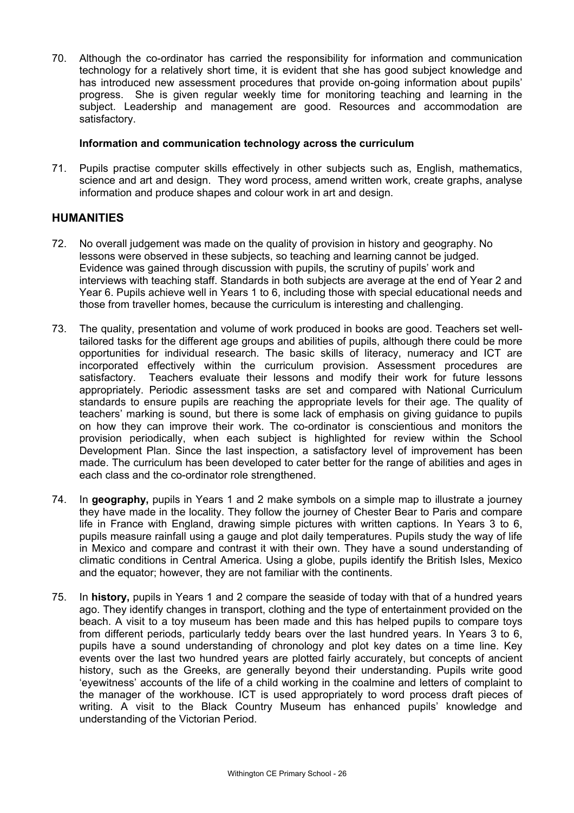70. Although the co-ordinator has carried the responsibility for information and communication technology for a relatively short time, it is evident that she has good subject knowledge and has introduced new assessment procedures that provide on-going information about pupils' progress. She is given regular weekly time for monitoring teaching and learning in the subject. Leadership and management are good. Resources and accommodation are satisfactory.

### **Information and communication technology across the curriculum**

71. Pupils practise computer skills effectively in other subjects such as, English, mathematics, science and art and design. They word process, amend written work, create graphs, analyse information and produce shapes and colour work in art and design.

### **HUMANITIES**

- 72. No overall judgement was made on the quality of provision in history and geography. No lessons were observed in these subjects, so teaching and learning cannot be judged. Evidence was gained through discussion with pupils, the scrutiny of pupils' work and interviews with teaching staff. Standards in both subjects are average at the end of Year 2 and Year 6. Pupils achieve well in Years 1 to 6, including those with special educational needs and those from traveller homes, because the curriculum is interesting and challenging.
- 73. The quality, presentation and volume of work produced in books are good. Teachers set welltailored tasks for the different age groups and abilities of pupils, although there could be more opportunities for individual research. The basic skills of literacy, numeracy and ICT are incorporated effectively within the curriculum provision. Assessment procedures are satisfactory. Teachers evaluate their lessons and modify their work for future lessons appropriately. Periodic assessment tasks are set and compared with National Curriculum standards to ensure pupils are reaching the appropriate levels for their age. The quality of teachers' marking is sound, but there is some lack of emphasis on giving guidance to pupils on how they can improve their work. The co-ordinator is conscientious and monitors the provision periodically, when each subject is highlighted for review within the School Development Plan. Since the last inspection, a satisfactory level of improvement has been made. The curriculum has been developed to cater better for the range of abilities and ages in each class and the co-ordinator role strengthened.
- 74. In **geography,** pupils in Years 1 and 2 make symbols on a simple map to illustrate a journey they have made in the locality. They follow the journey of Chester Bear to Paris and compare life in France with England, drawing simple pictures with written captions. In Years 3 to 6, pupils measure rainfall using a gauge and plot daily temperatures. Pupils study the way of life in Mexico and compare and contrast it with their own. They have a sound understanding of climatic conditions in Central America. Using a globe, pupils identify the British Isles, Mexico and the equator; however, they are not familiar with the continents.
- 75. In **history,** pupils in Years 1 and 2 compare the seaside of today with that of a hundred years ago. They identify changes in transport, clothing and the type of entertainment provided on the beach. A visit to a toy museum has been made and this has helped pupils to compare toys from different periods, particularly teddy bears over the last hundred years. In Years 3 to 6, pupils have a sound understanding of chronology and plot key dates on a time line. Key events over the last two hundred years are plotted fairly accurately, but concepts of ancient history, such as the Greeks, are generally beyond their understanding. Pupils write good 'eyewitness' accounts of the life of a child working in the coalmine and letters of complaint to the manager of the workhouse. ICT is used appropriately to word process draft pieces of writing. A visit to the Black Country Museum has enhanced pupils' knowledge and understanding of the Victorian Period.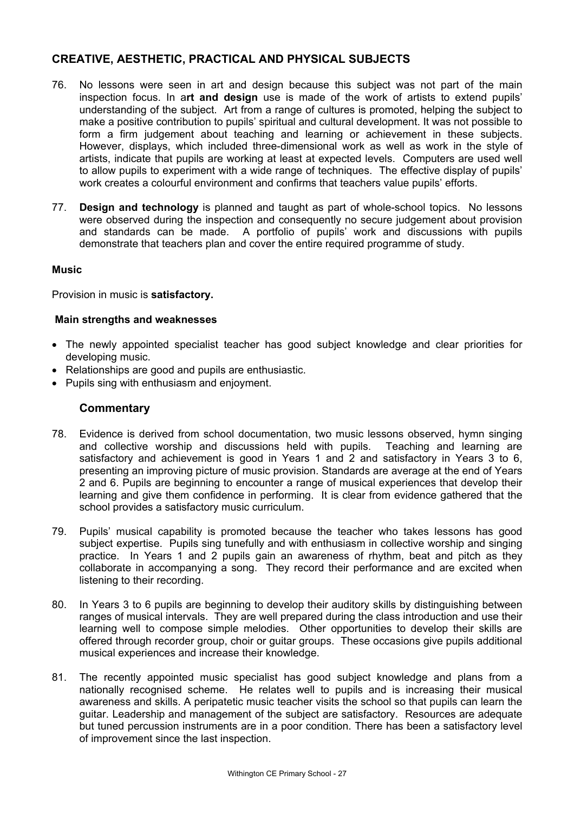# **CREATIVE, AESTHETIC, PRACTICAL AND PHYSICAL SUBJECTS**

- 76. No lessons were seen in art and design because this subject was not part of the main inspection focus. In a**rt and design** use is made of the work of artists to extend pupils' understanding of the subject. Art from a range of cultures is promoted, helping the subject to make a positive contribution to pupils' spiritual and cultural development. It was not possible to form a firm judgement about teaching and learning or achievement in these subjects. However, displays, which included three-dimensional work as well as work in the style of artists, indicate that pupils are working at least at expected levels. Computers are used well to allow pupils to experiment with a wide range of techniques. The effective display of pupils' work creates a colourful environment and confirms that teachers value pupils' efforts.
- 77. **Design and technology** is planned and taught as part of whole-school topics. No lessons were observed during the inspection and consequently no secure judgement about provision and standards can be made. A portfolio of pupils' work and discussions with pupils demonstrate that teachers plan and cover the entire required programme of study.

### **Music**

Provision in music is **satisfactory.** 

### **Main strengths and weaknesses**

- The newly appointed specialist teacher has good subject knowledge and clear priorities for developing music.
- Relationships are good and pupils are enthusiastic.
- Pupils sing with enthusiasm and enjoyment.

- 78. Evidence is derived from school documentation, two music lessons observed, hymn singing and collective worship and discussions held with pupils. Teaching and learning are satisfactory and achievement is good in Years 1 and 2 and satisfactory in Years 3 to 6, presenting an improving picture of music provision. Standards are average at the end of Years 2 and 6. Pupils are beginning to encounter a range of musical experiences that develop their learning and give them confidence in performing. It is clear from evidence gathered that the school provides a satisfactory music curriculum.
- 79. Pupils' musical capability is promoted because the teacher who takes lessons has good subject expertise. Pupils sing tunefully and with enthusiasm in collective worship and singing practice. In Years 1 and 2 pupils gain an awareness of rhythm, beat and pitch as they collaborate in accompanying a song. They record their performance and are excited when listening to their recording.
- 80. In Years 3 to 6 pupils are beginning to develop their auditory skills by distinguishing between ranges of musical intervals. They are well prepared during the class introduction and use their learning well to compose simple melodies. Other opportunities to develop their skills are offered through recorder group, choir or guitar groups. These occasions give pupils additional musical experiences and increase their knowledge.
- 81. The recently appointed music specialist has good subject knowledge and plans from a nationally recognised scheme. He relates well to pupils and is increasing their musical awareness and skills. A peripatetic music teacher visits the school so that pupils can learn the guitar. Leadership and management of the subject are satisfactory. Resources are adequate but tuned percussion instruments are in a poor condition. There has been a satisfactory level of improvement since the last inspection.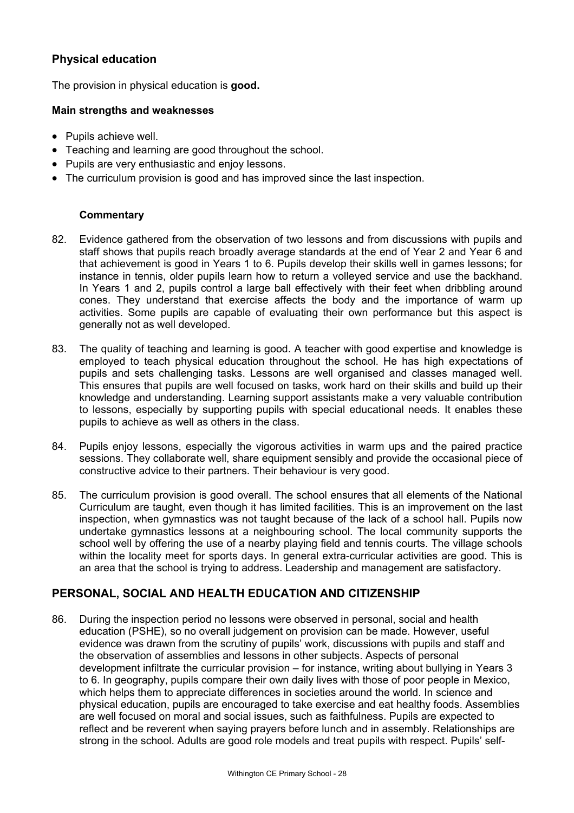# **Physical education**

The provision in physical education is **good.**

### **Main strengths and weaknesses**

- Pupils achieve well.
- Teaching and learning are good throughout the school.
- Pupils are very enthusiastic and enjoy lessons.
- The curriculum provision is good and has improved since the last inspection.

### **Commentary**

- 82. Evidence gathered from the observation of two lessons and from discussions with pupils and staff shows that pupils reach broadly average standards at the end of Year 2 and Year 6 and that achievement is good in Years 1 to 6. Pupils develop their skills well in games lessons; for instance in tennis, older pupils learn how to return a volleyed service and use the backhand. In Years 1 and 2, pupils control a large ball effectively with their feet when dribbling around cones. They understand that exercise affects the body and the importance of warm up activities. Some pupils are capable of evaluating their own performance but this aspect is generally not as well developed.
- 83. The quality of teaching and learning is good. A teacher with good expertise and knowledge is employed to teach physical education throughout the school. He has high expectations of pupils and sets challenging tasks. Lessons are well organised and classes managed well. This ensures that pupils are well focused on tasks, work hard on their skills and build up their knowledge and understanding. Learning support assistants make a very valuable contribution to lessons, especially by supporting pupils with special educational needs. It enables these pupils to achieve as well as others in the class.
- 84. Pupils enjoy lessons, especially the vigorous activities in warm ups and the paired practice sessions. They collaborate well, share equipment sensibly and provide the occasional piece of constructive advice to their partners. Their behaviour is very good.
- 85. The curriculum provision is good overall. The school ensures that all elements of the National Curriculum are taught, even though it has limited facilities. This is an improvement on the last inspection, when gymnastics was not taught because of the lack of a school hall. Pupils now undertake gymnastics lessons at a neighbouring school. The local community supports the school well by offering the use of a nearby playing field and tennis courts. The village schools within the locality meet for sports days. In general extra-curricular activities are good. This is an area that the school is trying to address. Leadership and management are satisfactory.

### **PERSONAL, SOCIAL AND HEALTH EDUCATION AND CITIZENSHIP**

86. During the inspection period no lessons were observed in personal, social and health education (PSHE), so no overall judgement on provision can be made. However, useful evidence was drawn from the scrutiny of pupils' work, discussions with pupils and staff and the observation of assemblies and lessons in other subjects. Aspects of personal development infiltrate the curricular provision – for instance, writing about bullying in Years 3 to 6. In geography, pupils compare their own daily lives with those of poor people in Mexico, which helps them to appreciate differences in societies around the world. In science and physical education, pupils are encouraged to take exercise and eat healthy foods. Assemblies are well focused on moral and social issues, such as faithfulness. Pupils are expected to reflect and be reverent when saying prayers before lunch and in assembly. Relationships are strong in the school. Adults are good role models and treat pupils with respect. Pupils' self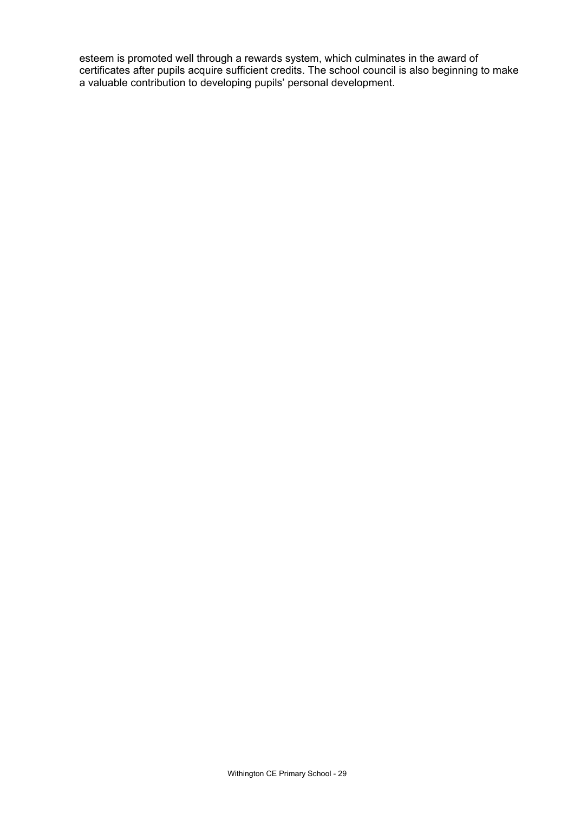esteem is promoted well through a rewards system, which culminates in the award of certificates after pupils acquire sufficient credits. The school council is also beginning to make a valuable contribution to developing pupils' personal development.